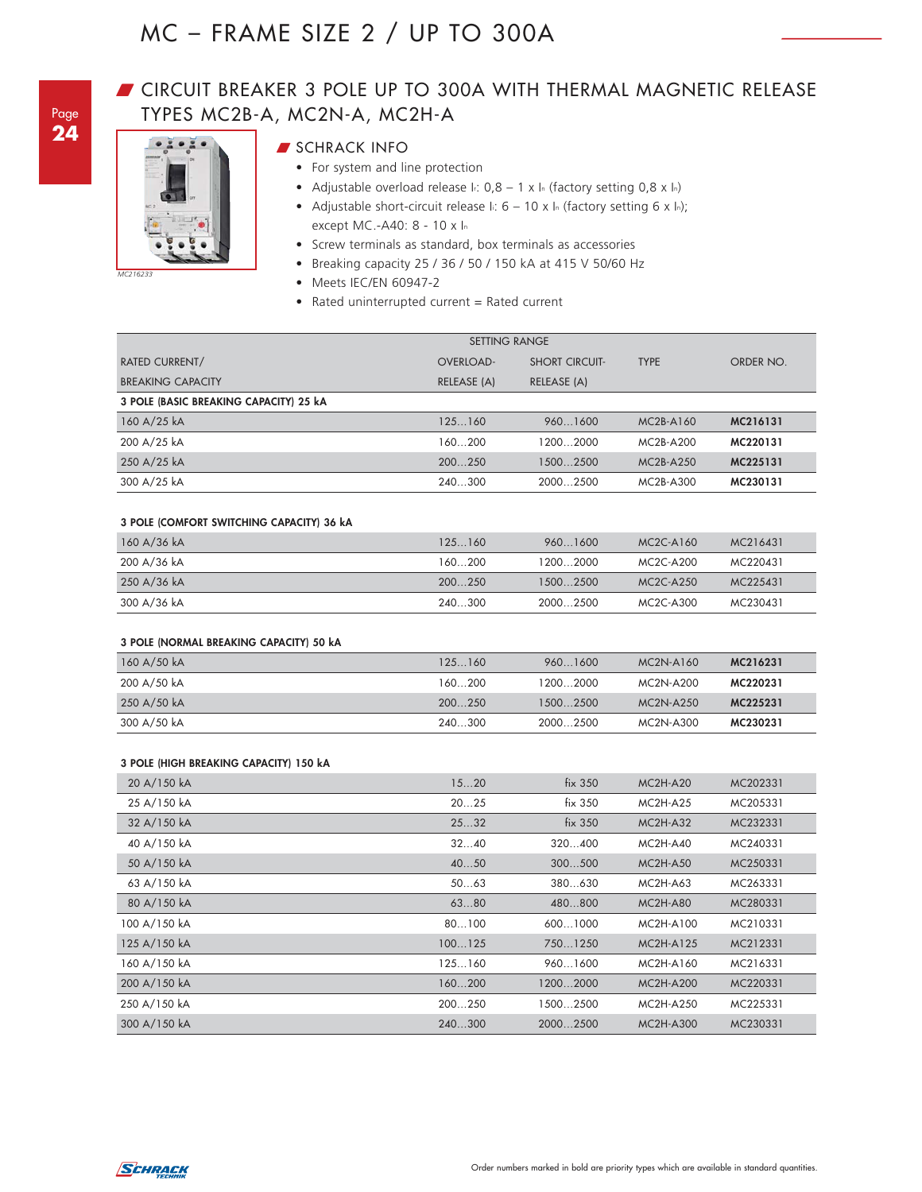## **GIRCUIT BREAKER 3 POLE UP TO 300A WITH THERMAL MAGNETIC RELEASE** TYPES MC2B-A, MC2N-A, MC2H-A



## **SCHRACK INFO**

- For system and line protection
- Adjustable overload release I.:  $0,8 1 \times 1$  (factory setting  $0,8 \times 1$ <sub>n</sub>)
- Adjustable short-circuit release  $\ln 6 10 \times \ln$  (factory setting 6 x ln); except MC.-A40: 8 - 10 x In
- Screw terminals as standard, box terminals as accessories
- Breaking capacity 25 / 36 / 50 / 150 kA at 415 V 50/60 Hz
- Meets IEC/EN 60947-2
- Rated uninterrupted current = Rated current

|                                        | <b>SETTING RANGE</b> |                       |                                    |           |  |  |
|----------------------------------------|----------------------|-----------------------|------------------------------------|-----------|--|--|
| <b>RATED CURRENT/</b>                  | <b>OVERLOAD-</b>     | <b>SHORT CIRCUIT-</b> | <b>TYPE</b>                        | ORDER NO. |  |  |
| <b>BREAKING CAPACITY</b>               | RELEASE (A)          | RELEASE (A)           |                                    |           |  |  |
| 3 POLE (BASIC BREAKING CAPACITY) 25 kA |                      |                       |                                    |           |  |  |
| 160 A/25 kA                            | 125160               | 9601600               | MC <sub>2</sub> B-A <sub>160</sub> | MC216131  |  |  |
| 200 A/25 kA                            | 160200               | 12002000              | MC <sub>2</sub> B-A <sub>200</sub> | MC220131  |  |  |
| 250 A/25 kA                            | 200250               | 15002500              | MC <sub>2</sub> B-A <sub>250</sub> | MC225131  |  |  |
| 300 A/25 kA                            | 240300               | 20002500              | MC2B-A300                          | MC230131  |  |  |

#### **3 POLE (COMFORT SWITCHING CAPACITY) 36 kA**

| 160 A/36 kA | 125 160 | 960 1600 | $MC2C-A160$                        | MC216431 |
|-------------|---------|----------|------------------------------------|----------|
| 200 A/36 kA | 160200  | 12002000 | MC <sub>2</sub> C-A <sub>200</sub> | MC220431 |
| 250 A/36 kA | 200250  | 15002500 | MC <sub>2</sub> C-A <sub>250</sub> | MC225431 |
| 300 A/36 kA | 240300  | 20002500 | MC <sub>2</sub> C-A <sub>300</sub> | MC230431 |

#### **3 POLE (NORMAL BREAKING CAPACITY) 50 kA**

| 160 A/50 kA | 125160 | 9601600  | MC <sub>2N</sub> -A <sub>160</sub> | MC216231 |
|-------------|--------|----------|------------------------------------|----------|
| 200 A/50 kA | 160200 | 12002000 | MC <sub>2N</sub> -A <sub>200</sub> | MC220231 |
| 250 A/50 kA | 200250 | 15002500 | MC <sub>2N</sub> -A <sub>250</sub> | MC225231 |
| 300 A/50 kA | 240300 | 20002500 | MC <sub>2N</sub> -A <sub>300</sub> | MC230231 |

#### **3 POLE (HIGH BREAKING CAPACITY) 150 kA**

| 20 A/150 kA  | 1520   | fix 350  | $MC2H-A20$       | MC202331 |
|--------------|--------|----------|------------------|----------|
| 25 A/150 kA  | 2025   | fix 350  | $MC2H-A25$       | MC205331 |
| 32 A/150 kA  | 2532   | fix 350  | $MC2H-A32$       | MC232331 |
| 40 A/150 kA  | 3240   | 320400   | $MC2H-A40$       | MC240331 |
| 50 A/150 kA  | 4050   | 300500   | $MC2H-A50$       | MC250331 |
| 63 A/150 kA  | 5063   | 380630   | $MC2H-A63$       | MC263331 |
| 80 A/150 kA  | 6380   | 480800   | <b>MC2H-A80</b>  | MC280331 |
| 100 A/150 kA | 80100  | 6001000  | MC2H-A100        | MC210331 |
| 125 A/150 kA | 100125 | 7501250  | <b>MC2H-A125</b> | MC212331 |
| 160 A/150 kA | 125160 | 9601600  | MC2H-A160        | MC216331 |
| 200 A/150 kA | 160200 | 12002000 | <b>MC2H-A200</b> | MC220331 |
| 250 A/150 kA | 200250 | 15002500 | MC2H-A250        | MC225331 |
| 300 A/150 kA | 240300 | 20002500 | <b>MC2H-A300</b> | MC230331 |

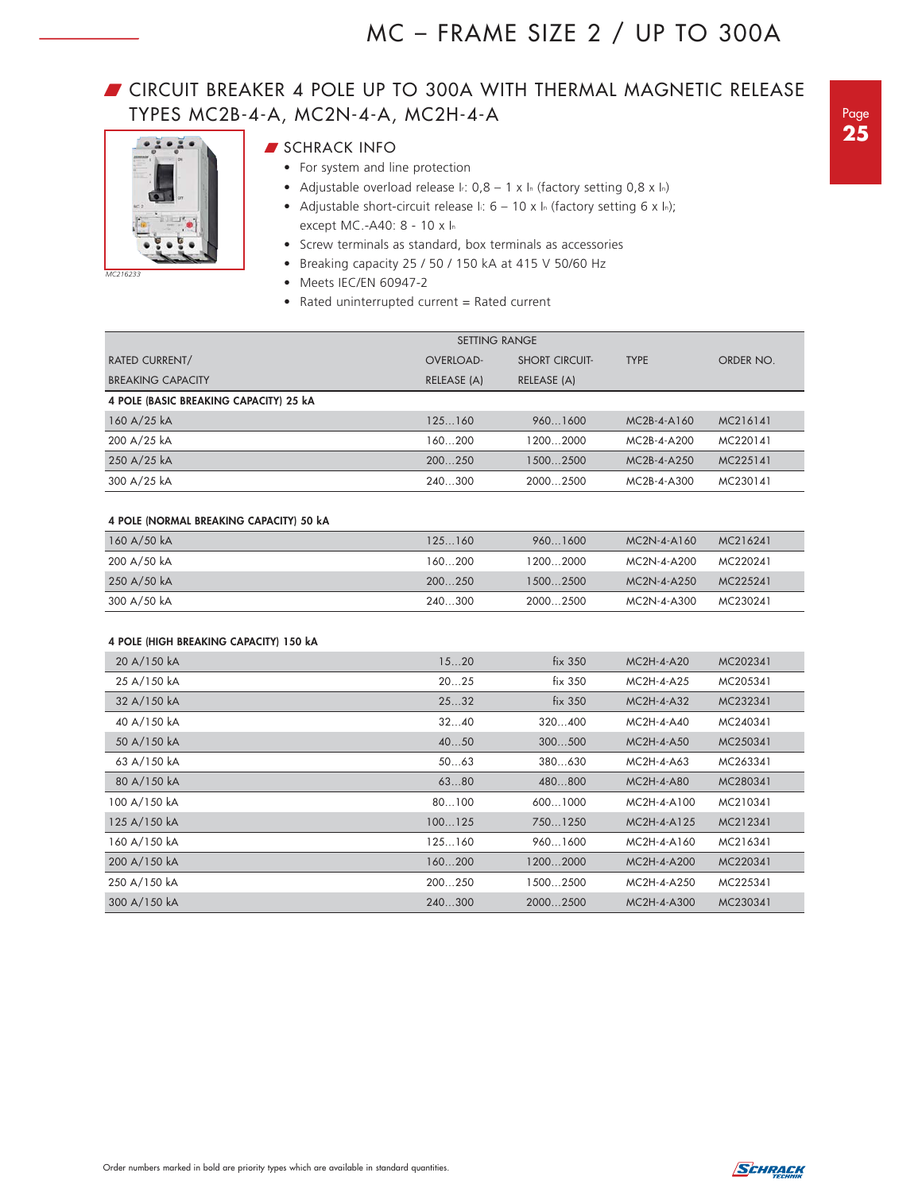## **GIRCUIT BREAKER 4 POLE UP TO 300A WITH THERMAL MAGNETIC RELEASE** TYPES MC2B-4-A, MC2N-4-A, MC2H-4-A



*MC216233*

- **SCHRACK INFO**
- For system and line protection
	- Adjustable overload release I.:  $0,8 1 \times 1$  (factory setting  $0,8 \times 1$ <sub>n</sub>)
	- Adjustable short-circuit release  $\ln 6 10 \times \ln$  (factory setting 6 x  $\ln$ ); except MC.-A40: 8 - 10 x In
- Screw terminals as standard, box terminals as accessories
- Breaking capacity 25 / 50 / 150 kA at 415 V 50/60 Hz
- Meets IEC/EN 60947-2
- Rated uninterrupted current = Rated current

|                                         | <b>SETTING RANGE</b> |                       |                |           |
|-----------------------------------------|----------------------|-----------------------|----------------|-----------|
| <b>RATED CURRENT/</b>                   | OVERLOAD-            | <b>SHORT CIRCUIT-</b> | <b>TYPE</b>    | ORDER NO. |
| <b>BREAKING CAPACITY</b>                | RELEASE (A)          | RELEASE (A)           |                |           |
| 4 POLE (BASIC BREAKING CAPACITY) 25 kA  |                      |                       |                |           |
| 160 A/25 kA                             | 125160               | 9601600               | MC2B-4-A160    | MC216141  |
| 200 A/25 kA                             | 160200               | 12002000              | MC2B-4-A200    | MC220141  |
| 250 A/25 kA                             | 200250               | 15002500              | MC2B-4-A250    | MC225141  |
| 300 A/25 kA                             | 240300               | 20002500              | MC2B-4-A300    | MC230141  |
|                                         |                      |                       |                |           |
| 4 POLE (NORMAL BREAKING CAPACITY) 50 kA |                      |                       |                |           |
| 160 A/50 kA                             | 125160               | 9601600               | MC2N-4-A160    | MC216241  |
| 200 A/50 kA                             | 160200               | 12002000              | MC2N-4-A200    | MC220241  |
| 250 A/50 kA                             | 200250               | 15002500              | MC2N-4-A250    | MC225241  |
| 300 A/50 kA                             | 240300               | 20002500              | MC2N-4-A300    | MC230241  |
|                                         |                      |                       |                |           |
| 4 POLE (HIGH BREAKING CAPACITY) 150 kA  |                      |                       |                |           |
| 20 A/150 kA                             | 1520                 | fix 350               | MC2H-4-A20     | MC202341  |
| $0.5 + 1.50 + 1.$                       | 0 <sup>0</sup>       | $F = 2.50$            | $110011 + 105$ | 110005011 |

| 25 A/150 kA  | 2025   | fix 350  | MC2H-4-A25   | MC205341 |
|--------------|--------|----------|--------------|----------|
| 32 A/150 kA  | 2532   | fix 350  | MC2H-4-A32   | MC232341 |
| 40 A/150 kA  | 3240   | 320400   | MC2H-4-A40   | MC240341 |
| 50 A/150 kA  | 4050   | 300500   | $MC2H-4-AS0$ | MC250341 |
| 63 A/150 kA  | 5063   | 380630   | $MC2H-4-AG3$ | MC263341 |
| 80 A/150 kA  | 6380   | 480800   | MC2H-4-A80   | MC280341 |
| 100 A/150 kA | 80100  | 6001000  | MC2H-4-A100  | MC210341 |
| 125 A/150 kA | 100125 | 7501250  | MC2H-4-A125  | MC212341 |
| 160 A/150 kA | 125160 | 9601600  | MC2H-4-A160  | MC216341 |
| 200 A/150 kA | 160200 | 12002000 | MC2H-4-A200  | MC220341 |
| 250 A/150 kA | 200250 | 15002500 | MC2H-4-A250  | MC225341 |
| 300 A/150 kA | 240300 | 20002500 | MC2H-4-A300  | MC230341 |

Order numbers marked in bold are priority types which are available in standard quantities.

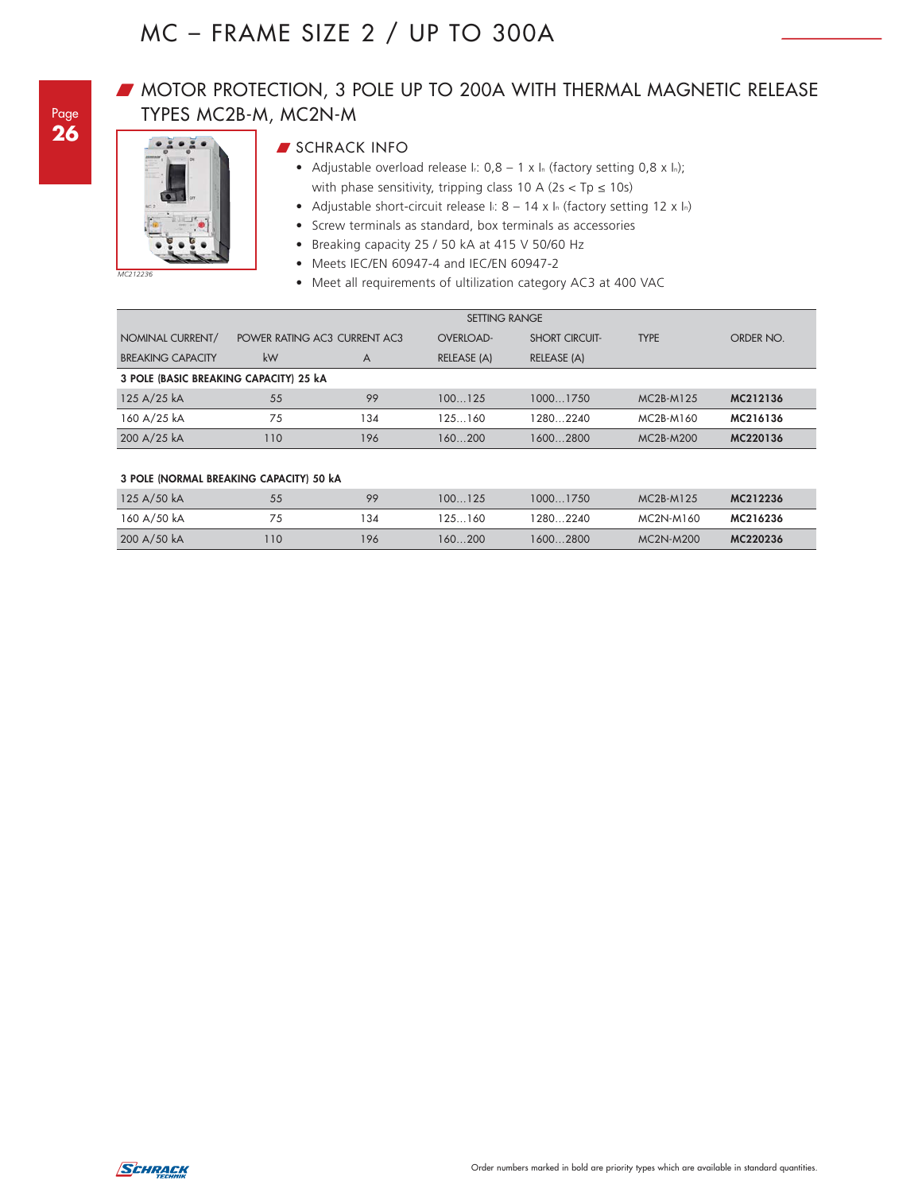## **W** MOTOR PROTECTION, 3 POLE UP TO 200A WITH THERMAL MAGNETIC RELEASE TYPES MC2B-M, MC2N-M



## **SCHRACK INFO**

- Adjustable overload release  $I: 0,8 1 \times I_n$  (factory setting 0,8 x ln); with phase sensitivity, tripping class 10 A ( $2s < Tp \le 10s$ )
- Adjustable short-circuit release I: 8 14 x In (factory setting 12 x In)
- Screw terminals as standard, box terminals as accessories
- Breaking capacity 25 / 50 kA at 415 V 50/60 Hz
- Meets IEC/EN 60947-4 and IEC/EN 60947-2
- Meet all requirements of ultilization category AC3 at 400 VAC

|                                        | <b>SETTING RANGE</b> |                              |                  |                       |                                    |           |  |
|----------------------------------------|----------------------|------------------------------|------------------|-----------------------|------------------------------------|-----------|--|
| NOMINAL CURRENT/                       |                      | POWER RATING AC3 CURRENT AC3 | <b>OVERLOAD-</b> | <b>SHORT CIRCUIT-</b> | <b>TYPE</b>                        | ORDER NO. |  |
| <b>BREAKING CAPACITY</b>               | kW                   | A                            | RELEASE (A)      | RELEASE (A)           |                                    |           |  |
| 3 POLE (BASIC BREAKING CAPACITY) 25 kA |                      |                              |                  |                       |                                    |           |  |
| 125 A/25 kA                            | 55                   | 99                           | 100125           | 10001750              | MC <sub>2</sub> B-M <sub>125</sub> | MC212136  |  |
| 160 A/25 kA                            | 75                   | 134                          | 125 160          | 2802240               | MC <sub>2</sub> B-M <sub>160</sub> | MC216136  |  |
| 200 A/25 kA                            | 110                  | 196                          | 160200           | 16002800              | MC <sub>2</sub> B-M <sub>200</sub> | MC220136  |  |

#### **3 POLE (NORMAL BREAKING CAPACITY) 50 kA**

| 125 A/50 kA | 55 | 99  | 100125  | 10001750  | $MC2B-M125$                        | MC212236 |
|-------------|----|-----|---------|-----------|------------------------------------|----------|
| 160 A/50 kA |    | 134 | 125 160 | 1280 2240 | MC2N-M160                          | MC216236 |
| 200 A/50 kA | 10 | 196 | 160200  | 16002800  | MC <sub>2N</sub> -M <sub>200</sub> | MC220236 |

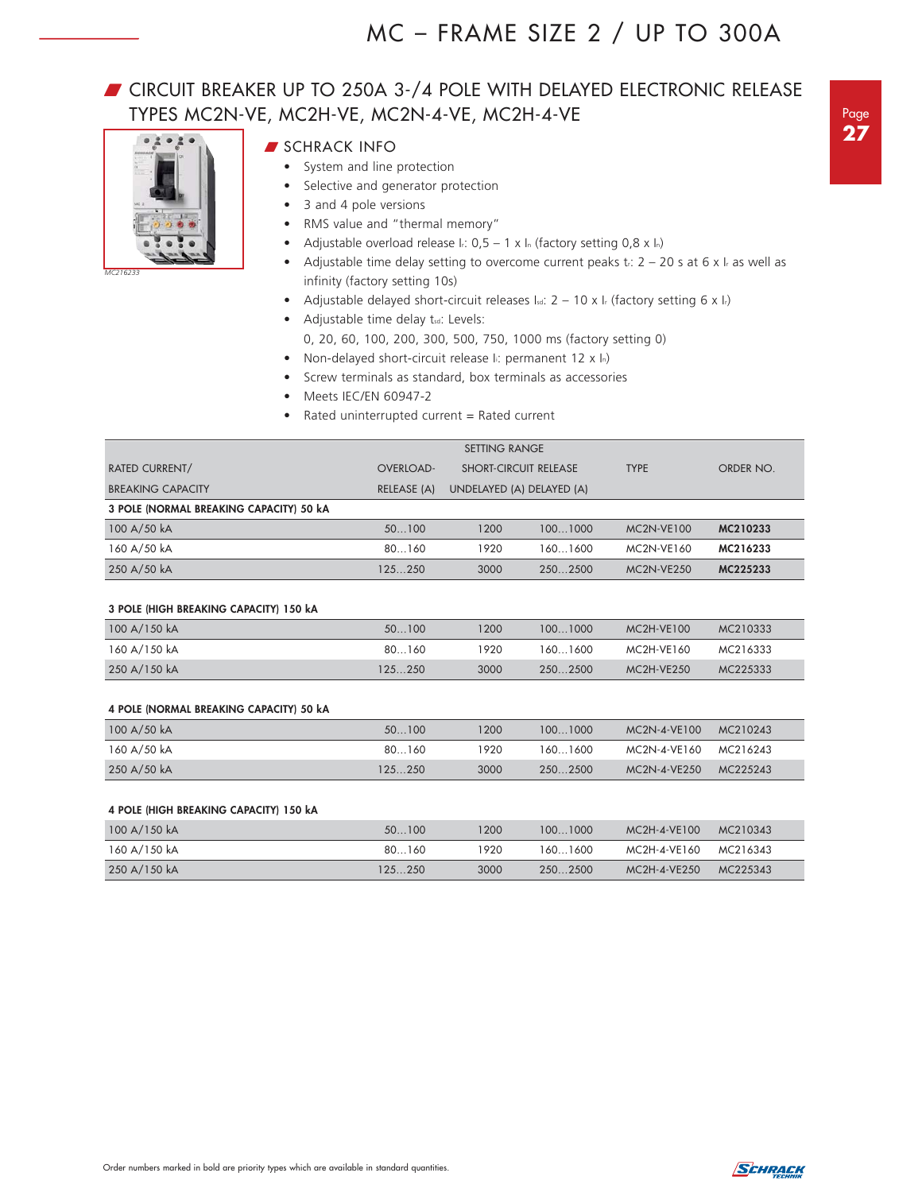## **T** CIRCUIT BREAKER UP TO 250A 3-/4 POLE WITH DELAYED ELECTRONIC RELEASE TYPES MC2N-VE, MC2H-VE, MC2N-4-VE, MC2H-4-VE



*MC216233*

## **SCHRACK INFO**

- System and line protection
	- Selective and generator protection
	- 3 and 4 pole versions
- RMS value and "thermal memory"
- Adjustable overload release Ir:  $0.5 1 \times \ln$  (factory setting  $0.8 \times \ln$ )
- Adjustable time delay setting to overcome current peaks tr:  $2 20$  s at 6 x l<sub>r</sub> as well as infinity (factory setting 10s)
- Adjustable delayed short-circuit releases Isa:  $2 10 \times 1$  (factory setting 6 x Ir)
- Adjustable time delay tsd: Levels:
	- 0, 20, 60, 100, 200, 300, 500, 750, 1000 ms (factory setting 0)
- Non-delayed short-circuit release II: permanent 12 x In)
- Screw terminals as standard, box terminals as accessories
- Meets IEC/EN 60947-2
- Rated uninterrupted current = Rated current

|                                         | <b>SETTING RANGE</b> |                              |         |                   |           |  |  |  |
|-----------------------------------------|----------------------|------------------------------|---------|-------------------|-----------|--|--|--|
| <b>RATED CURRENT/</b>                   | <b>OVERLOAD-</b>     | <b>SHORT-CIRCUIT RELEASE</b> |         | <b>TYPE</b>       | ORDER NO. |  |  |  |
| <b>BREAKING CAPACITY</b>                | RELEASE (A)          | UNDELAYED (A) DELAYED (A)    |         |                   |           |  |  |  |
| 3 POLE (NORMAL BREAKING CAPACITY) 50 KA |                      |                              |         |                   |           |  |  |  |
| 100 A/50 kA                             | 50100                | 1200                         | 1001000 | <b>MC2N-VE100</b> | MC210233  |  |  |  |
| 160 A/50 kA                             | 80160                | 1920                         | 1601600 | MC2N-VE160        | MC216233  |  |  |  |
| 250 A/50 kA                             | 125250               | 3000                         | 2502500 | $MC2N-VE250$      | MC225233  |  |  |  |

#### **3 POLE (HIGH BREAKING CAPACITY) 150 kA**

| 100 A/150 kA | 50100  | 1200 | 1001000  | MC2H-VE100        | MC210333 |
|--------------|--------|------|----------|-------------------|----------|
| 160 A/150 kA | 80160  | 920  | 1601600  | MC2H-VE160        | MC216333 |
| 250 A/150 kA | 125250 | 3000 | 250 2500 | <b>MC2H-VE250</b> | MC225333 |

#### **4 POLE (NORMAL BREAKING CAPACITY) 50 kA**

| 100 A/50 kA | 50100   | 1200  | 100 1000 | MC2N-4-VE100          | MC210243 |
|-------------|---------|-------|----------|-----------------------|----------|
| 160 A/50 kA | 80160   | 1920. | 160 1600 | MC2N-4-VE160 MC216243 |          |
| 250 A/50 kA | 125 250 | 3000  | 250 2500 | MC2N-4-VE250          | MC225243 |

#### **4 POLE (HIGH BREAKING CAPACITY) 150 kA**

| 100 A/150 kA | 50100  | 200  | 1001000  | MC2H-4-VE100 | MC210343 |
|--------------|--------|------|----------|--------------|----------|
| 160 A/150 kA | 80160  | 920  | 1601600  | MC2H-4-VE160 | MC216343 |
| 250 A/150 kA | 125250 | 3000 | 250 2500 | MC2H-4-VE250 | MC225343 |

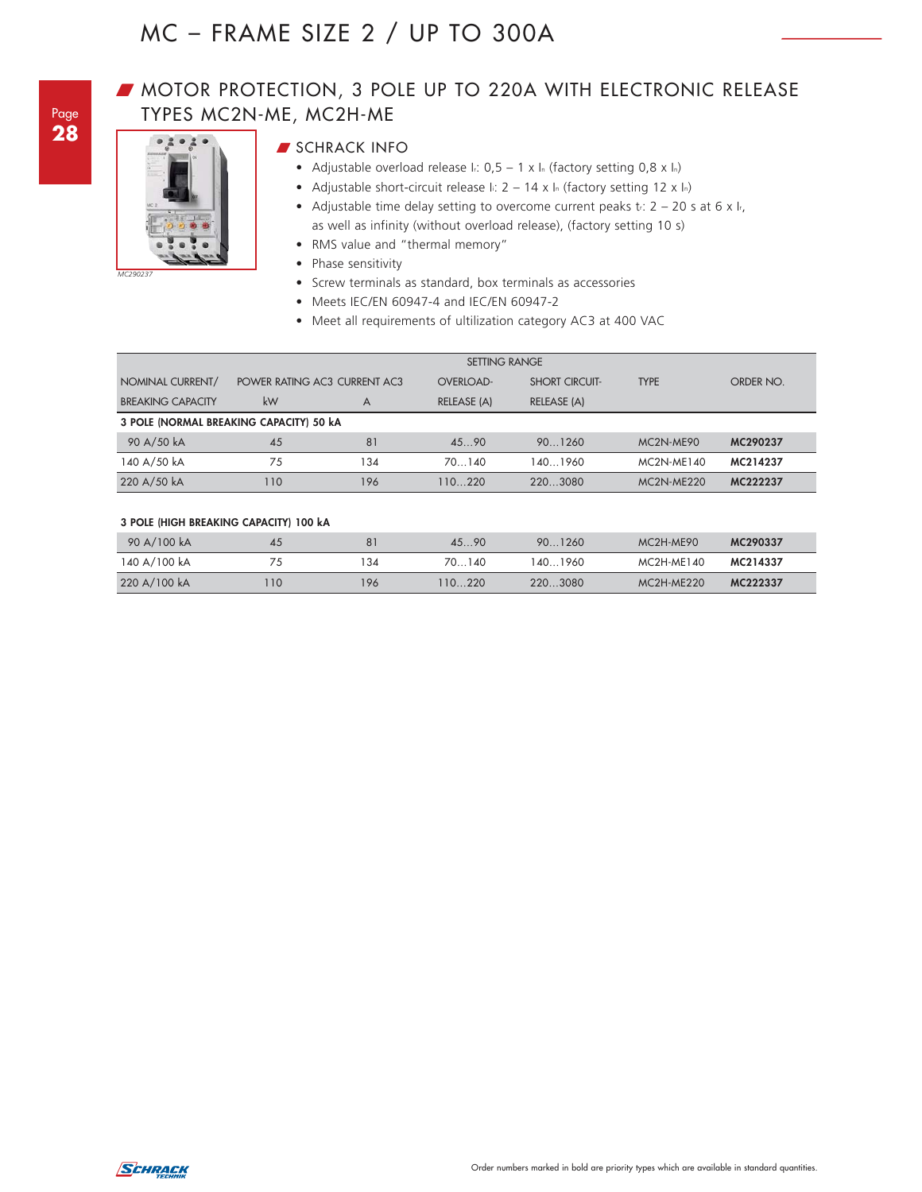## **MOTOR PROTECTION, 3 POLE UP TO 220A WITH ELECTRONIC RELEASE** TYPES MC2N-ME, MC2H-ME



## **SCHRACK INFO**

- Adjustable overload release  $I: 0, 5 1 \times I$ <sub>n</sub> (factory setting 0,8 x ln)
- Adjustable short-circuit release I:  $2 14 \times I_n$  (factory setting 12 x In)
- Adjustable time delay setting to overcome current peaks  $t_i$ : 2 20 s at 6 x  $I_i$ , as well as infinity (without overload release), (factory setting 10 s)
- RMS value and "thermal memory"
- Phase sensitivity
- Screw terminals as standard, box terminals as accessories
- Meets IEC/EN 60947-4 and IEC/EN 60947-2
- Meet all requirements of ultilization category AC3 at 400 VAC

|                                         | <b>SETTING RANGE</b> |                              |                  |                       |                                    |           |
|-----------------------------------------|----------------------|------------------------------|------------------|-----------------------|------------------------------------|-----------|
| NOMINAL CURRENT/                        |                      | POWER RATING AC3 CURRENT AC3 | <b>OVERLOAD-</b> | <b>SHORT CIRCUIT-</b> | <b>TYPE</b>                        | ORDER NO. |
| <b>BREAKING CAPACITY</b>                | kW                   | A                            | RELEASE (A)      | RELEASE (A)           |                                    |           |
| 3 POLE (NORMAL BREAKING CAPACITY) 50 kA |                      |                              |                  |                       |                                    |           |
| 90 A/50 kA                              | 45                   | 81                           | 4590             | 901260                | MC <sub>2N</sub> -ME <sub>90</sub> | MC290237  |
| 140 A/50 kA                             | 75                   | 134                          | 70140            | 1401960               | $MC2N-ME140$                       | MC214237  |
| 220 A/50 kA                             | 110                  | 196                          | 110220           | 220.3080              | $MC2N-ME220$                       | MC222237  |

#### **3 POLE (HIGH BREAKING CAPACITY) 100 kA**

| 90 A/100 kA  | 45   | 81  | 4590   | 901260   | MC <sub>2H</sub> -ME <sub>90</sub> | MC290337 |
|--------------|------|-----|--------|----------|------------------------------------|----------|
| 140 A/100 kA |      | 134 | 70140  | 1401960  | MC2H-ME140                         | MC214337 |
| 220 A/100 kA | l 10 | 196 | 110220 | 220.3080 | $MC2H-ME220$                       | MC222337 |

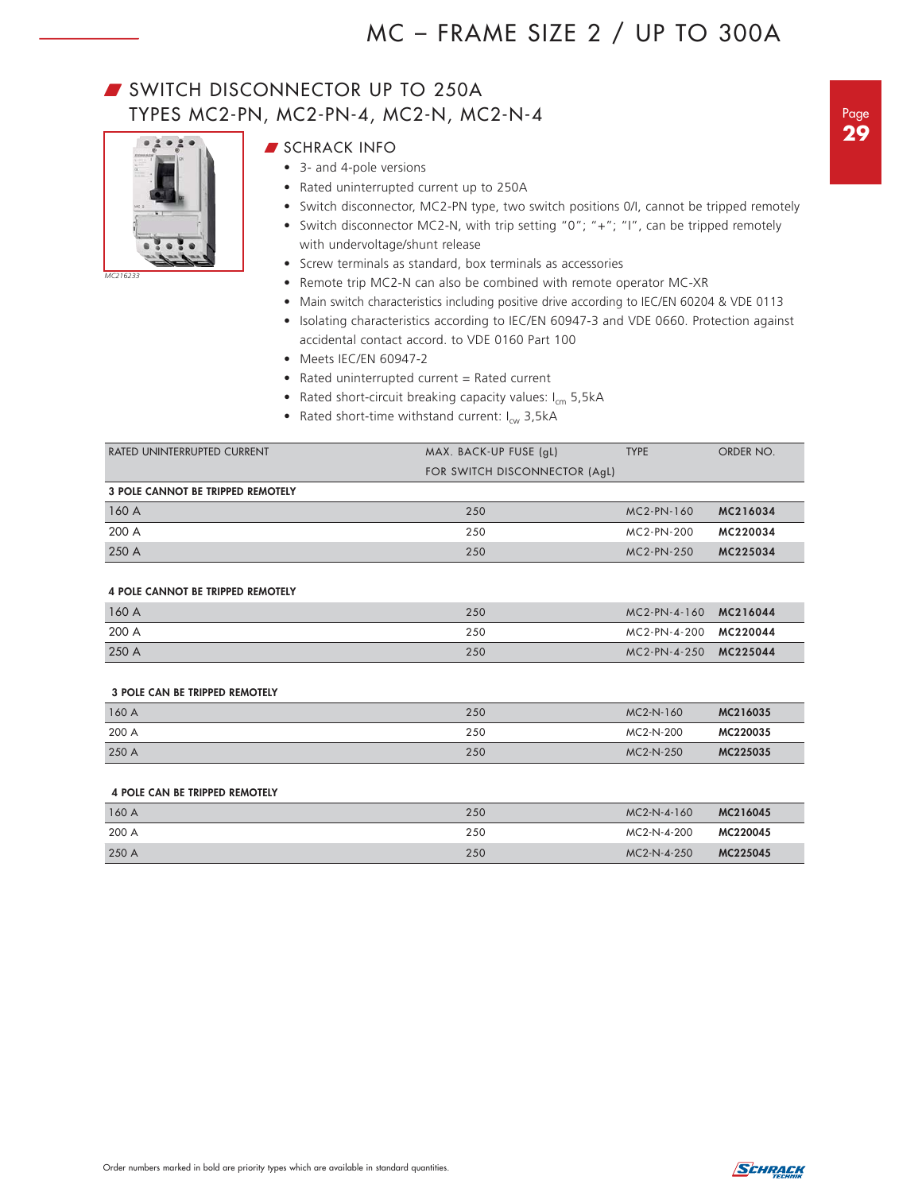## SWITCH DISCONNECTOR UP TO 250A TYPES MC2-PN, MC2-PN-4, MC2-N, MC2-N-4



*MC216233*

- **SCHRACK INFO**
- 3- and 4-pole versions
	- Rated uninterrupted current up to 250A
	- Switch disconnector, MC2-PN type, two switch positions 0/I, cannot be tripped remotely
	- Switch disconnector MC2-N, with trip setting "0"; "+"; "I", can be tripped remotely with undervoltage/shunt release
	- Screw terminals as standard, box terminals as accessories
	- Remote trip MC2-N can also be combined with remote operator MC-XR
	- Main switch characteristics including positive drive according to IEC/EN 60204 & VDE 0113
	- Isolating characteristics according to IEC/EN 60947-3 and VDE 0660. Protection against accidental contact accord. to VDE 0160 Part 100
	- Meets IEC/EN 60947-2
	- Rated uninterrupted current = Rated current
	- Rated short-circuit breaking capacity values:  $I_{cm}$  5,5kA
	- Rated short-time withstand current:  $I_{cw}$  3,5kA

| RATED UNINTERRUPTED CURRENT       | MAX. BACK-UP FUSE (gL)        | <b>TYPE</b>  | ORDER NO. |
|-----------------------------------|-------------------------------|--------------|-----------|
|                                   | FOR SWITCH DISCONNECTOR (AqL) |              |           |
| 3 POLE CANNOT BE TRIPPED REMOTELY |                               |              |           |
| 160 A                             | 250                           | $MC2-PN-160$ | MC216034  |
| 200 A                             | 250                           | MC2-PN-200   | MC220034  |
| 250 A                             | 250                           | $MC2-PN-250$ | MC225034  |

#### **4 POLE CANNOT BE TRIPPED REMOTELY**

| 160A  | 250 | MC2-PN-4-160 MC216044 |  |
|-------|-----|-----------------------|--|
| 200 A | 250 | MC2-PN-4-200 MC220044 |  |
| 250 A | 250 | MC2-PN-4-250 MC225044 |  |

#### **3 POLE CAN BE TRIPPED REMOTELY**

| 160A  | 250 | MC2-N-160   | MC216035 |
|-------|-----|-------------|----------|
| 200 A | 250 | MC2-N-200   | MC220035 |
| 250 A | 250 | $MC2-N-250$ | MC225035 |

#### **4 POLE CAN BE TRIPPED REMOTELY**

| 160 A | 250 | MC2-N-4-160 | MC216045 |
|-------|-----|-------------|----------|
| 200 A | 250 | MC2-N-4-200 | MC220045 |
| 250 A | 250 | MC2-N-4-250 | MC225045 |

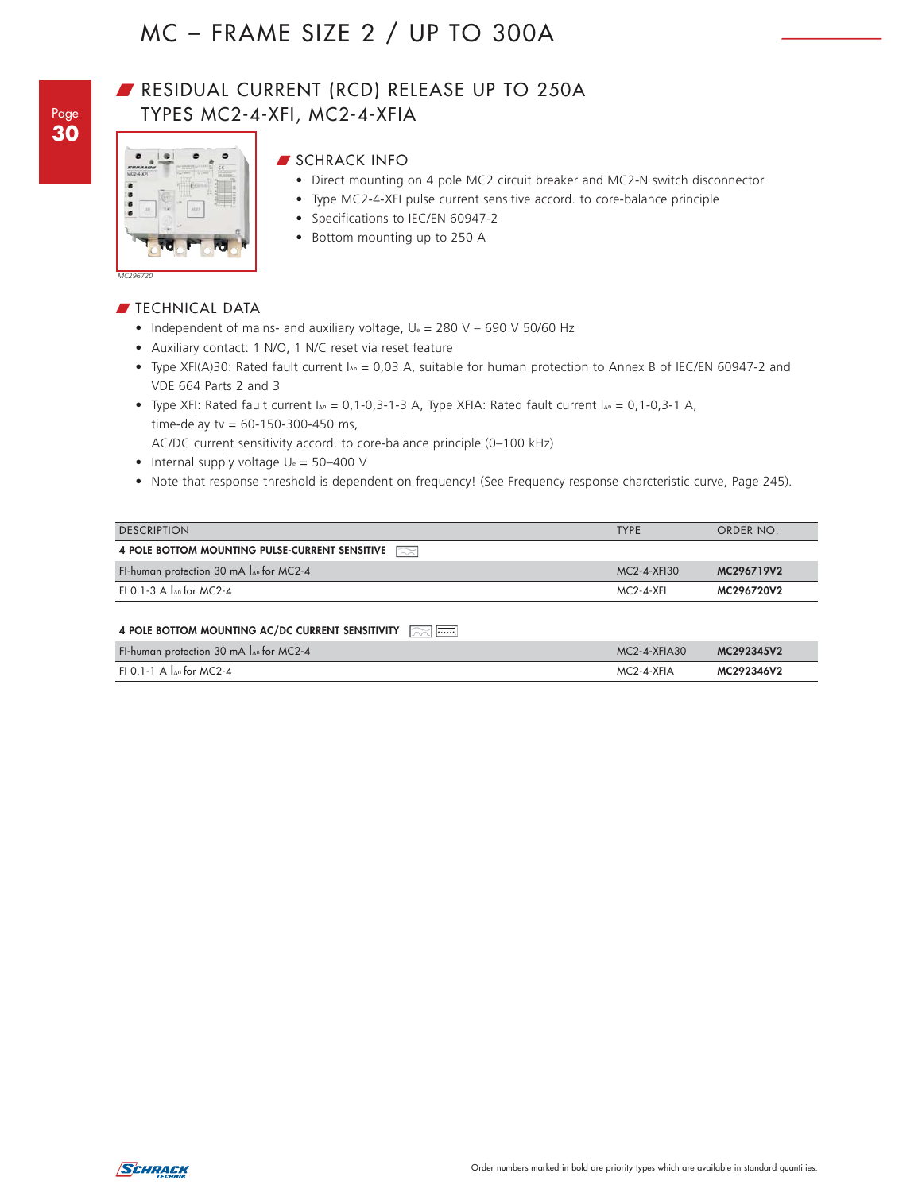Page **30**

## RESIDUAL CURRENT (RCD) RELEASE UP TO 250A TYPES MC2-4-XFI, MC2-4-XFIA



## **SCHRACK INFO**

- Direct mounting on 4 pole MC2 circuit breaker and MC2-N switch disconnector
- Type MC2-4-XFI pulse current sensitive accord. to core-balance principle
- Specifications to IEC/EN 60947-2
- Bottom mounting up to 250 A

*MC296720*

## $\blacksquare$  TECHNICAL DATA

- Independent of mains- and auxiliary voltage,  $U_e = 280$  V 690 V 50/60 Hz
- Auxiliary contact: 1 N/O, 1 N/C reset via reset feature
- Type XFI(A)30: Rated fault current IΔ<sup>n</sup> = 0,03 A, suitable for human protection to Annex B of IEC/EN 60947-2 and VDE 664 Parts 2 and 3
- Type XFI: Rated fault current  $I_{\Delta n} = 0,1-0,3-1-3$  A, Type XFIA: Rated fault current  $I_{\Delta n} = 0,1-0,3-1$  A, time-delay tv =  $60 - 150 - 300 - 450$  ms,
- AC/DC current sensitivity accord. to core-balance principle (0–100 kHz)
- Internal supply voltage  $U_e = 50-400$  V
- Note that response threshold is dependent on frequency! (See Frequency response charcteristic curve, Page 245).

| <b>DESCRIPTION</b>                                 | <b>TYPE</b> | ORDER NO.  |
|----------------------------------------------------|-------------|------------|
| 4 POLE BOTTOM MOUNTING PULSE-CURRENT SENSITIVE     |             |            |
| FI-human protection 30 mA $I_{\Delta n}$ for MC2-4 | MC2-4-XFI30 | MC296719V2 |
| FL0.1-3 A $\ln$ for MC2-4                          | $MC2-4-XFI$ | MC296720V2 |

#### **4 POLE BOTTOM MOUNTING AC/DC CURRENT SENSITIVITY**

| FI-human protection 30 mA $\ln$ for MC2-4 | $MC2 - 4 - XFIA30$ | MC292345V2 |
|-------------------------------------------|--------------------|------------|
| FI 0.1-1 A $\ln$ for MC2-4                | MC2-4-XFIA         | MC292346V2 |

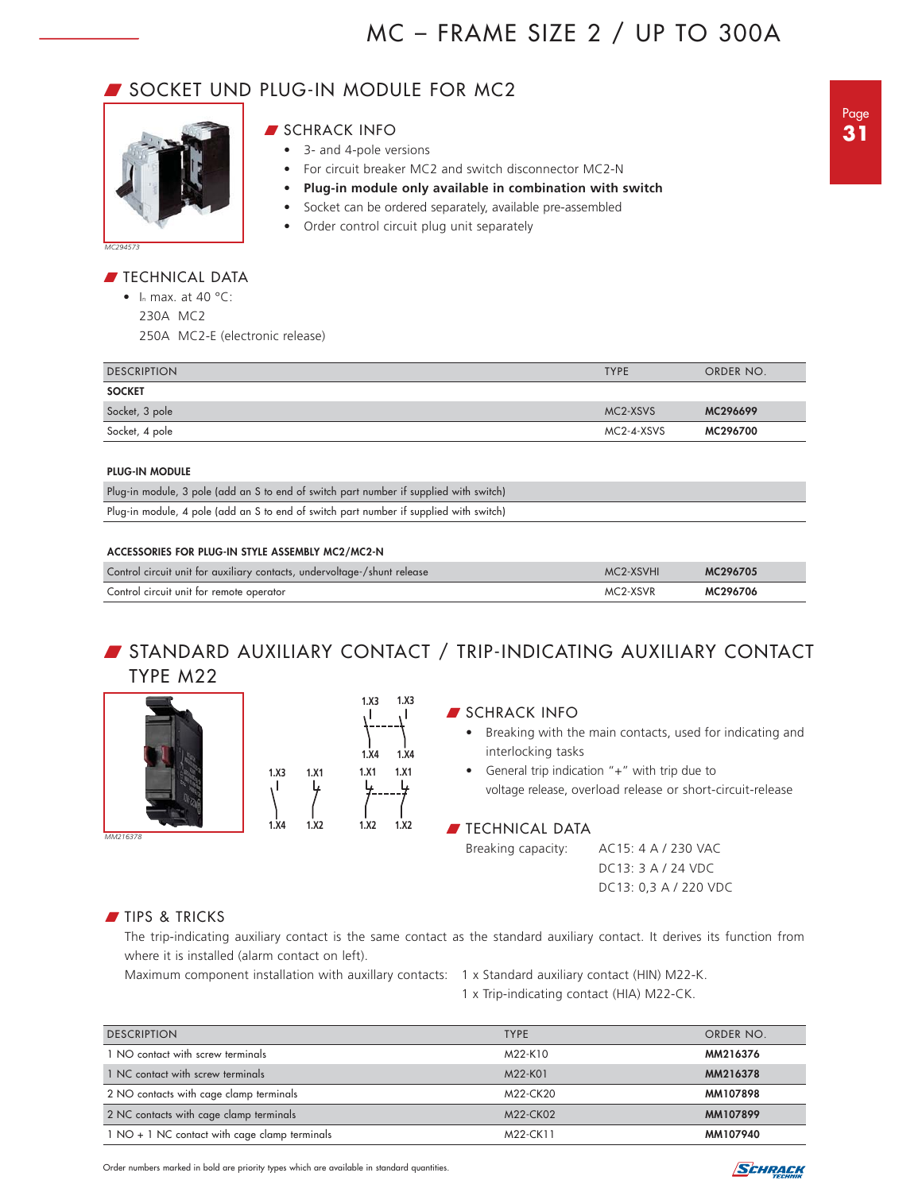## **SOCKET UND PLUG-IN MODULE FOR MC2**



#### **SCHRACK INFO**

- 3- and 4-pole versions
- For circuit breaker MC2 and switch disconnector MC2-N
- **Plug-in module only available in combination with switch**
- Socket can be ordered separately, available pre-assembled
- Order control circuit plug unit separately

#### $\blacksquare$  TECHNICAL DATA

• In max. at 40  $^{\circ}$ C: 230A MC2

250A MC2-E (electronic release)

| <b>DESCRIPTION</b> | <b>TYPE</b> | ORDER NO. |
|--------------------|-------------|-----------|
| <b>SOCKET</b>      |             |           |
| Socket, 3 pole     | MC2-XSVS    | MC296699  |
| Socket, 4 pole     | MC2-4-XSVS  | MC296700  |
|                    |             |           |

#### **PLUG-IN MODULE**

| Plug-in module, 3 pole (add an S to end of switch part number if supplied with switch) |  |
|----------------------------------------------------------------------------------------|--|
| Plug-in module, 4 pole (add an S to end of switch part number if supplied with switch) |  |

#### **ACCESSORIES FOR PLUG-IN STYLE ASSEMBLY MC2/MC2-N**

| Control circuit unit for auxiliary contacts, undervoltage-/shunt release | MC2-XSVHI | MC296705 |
|--------------------------------------------------------------------------|-----------|----------|
| Control circuit unit for remote operator                                 | MC2-XSVR  | MC296706 |

## W STANDARD AUXILIARY CONTACT / TRIP-INDICATING AUXILIARY CONTACT TYPE M22

**1.X3**

**1.X4**

**1.X1**

**1.X2**





## **SCHRACK INFO**

- Breaking with the main contacts, used for indicating and interlocking tasks
- General trip indication "+" with trip due to voltage release, overload release or short-circuit-release

#### $\blacksquare$  TECHNICAL DATA

Breaking capacity: AC15: 4 A / 230 VAC DC13: 3 A / 24 VDC DC13: 0,3 A / 220 VDC

## **TIPS & TRICKS**

The trip-indicating auxiliary contact is the same contact as the standard auxiliary contact. It derives its function from where it is installed (alarm contact on left).

Maximum component installation with auxillary contacts: 1 x Standard auxiliary contact (HIN) M22-K.

1 x Trip-indicating contact (HIA) M22-CK.

| <b>DESCRIPTION</b>                            | <b>TYPE</b> | ORDER NO. |
|-----------------------------------------------|-------------|-----------|
| 1 NO contact with screw terminals             | M22-K10     | MM216376  |
| 1 NC contact with screw terminals             | M22-K01     | MM216378  |
| 2 NO contacts with cage clamp terminals       | M22-CK20    | MM107898  |
| 2 NC contacts with cage clamp terminals       | M22-CK02    | MM107899  |
| 1 NO + 1 NC contact with cage clamp terminals | M22-CK11    | MM107940  |

Order numbers marked in bold are priority types which are available in standard quantities.

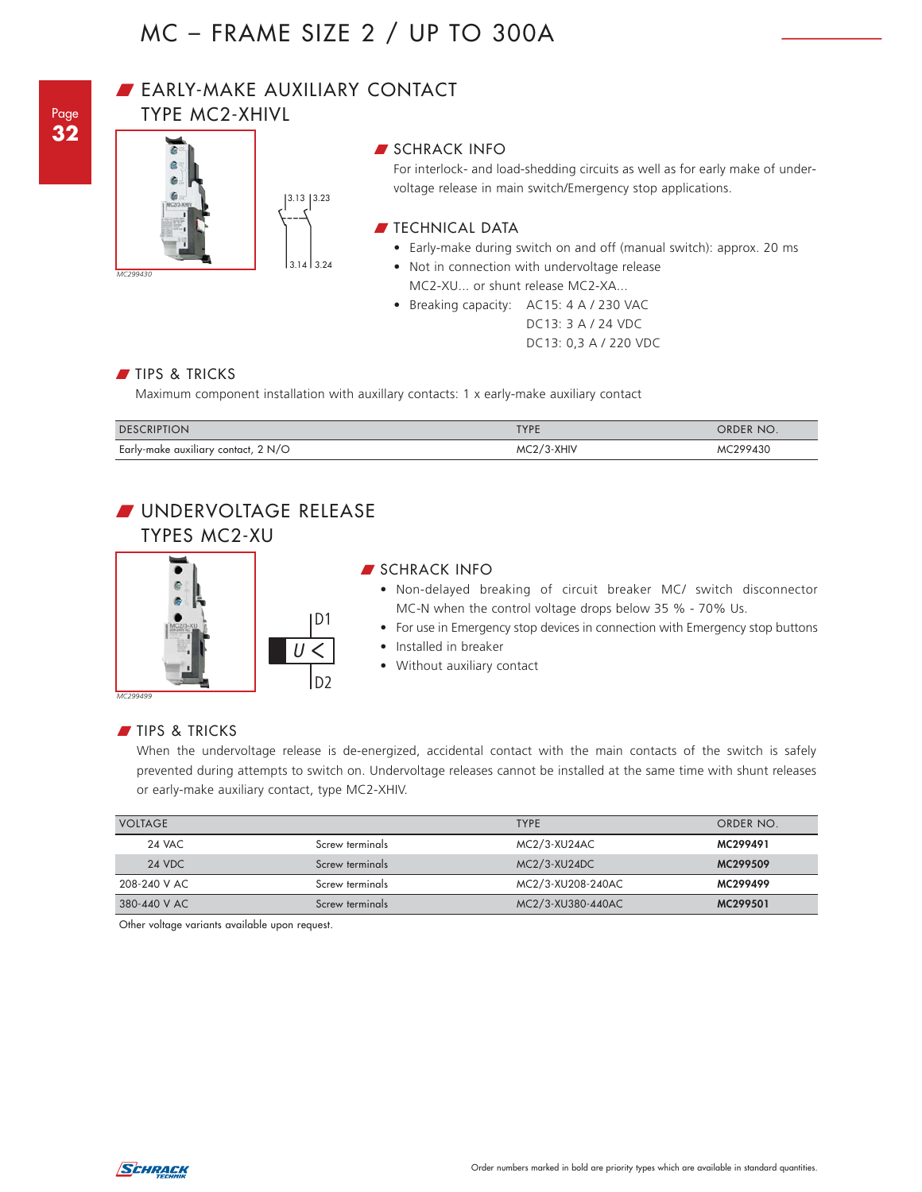

## **BEARLY-MAKE AUXILIARY CONTACT**

3.13 3.23

D23.14 3.24 3.14

TYPE MC2-XHIVL



For interlock- and load-shedding circuits as well as for early make of undervoltage release in main switch/Emergency stop applications.

## $\blacksquare$  TECHNICAL DATA

- Early-make during switch on and off (manual switch): approx. 20 ms
- Not in connection with undervoltage release MC2-XU... or shunt release MC2-XA...
- Breaking capacity: AC15: 4 A / 230 VAC DC13: 3 A / 24 VDC DC13: 0,3 A / 220 VDC

## TIPS & TRICKS

 $\overline{a}$  $\overline{a}$ 

*MC299430*

Maximum component installation with auxillary contacts: 1 x early-make auxiliary contact

| <b>DESCRIPTION</b>                    | TYPE       | order no. |
|---------------------------------------|------------|-----------|
| Early-make auxiliary contact, 2 $N/O$ | MC2/3-XHIV | MC299430  |

## **WINDERVOLTAGE RELEASE** TYPES MC2-XU



#### **SCHRACK INFO**

- Non-delayed breaking of circuit breaker MC/ switch disconnector MC-N when the control voltage drops below 35 % - 70% Us.
- For use in Emergency stop devices in connection with Emergency stop buttons
- Installed in breaker
- Without auxiliary contact

### TIPS & TRICKS

When the undervoltage release is de-energized, accidental contact with the main contacts of the switch is safely prevented during attempts to switch on. Undervoltage releases cannot be installed at the same time with shunt releases or early-make auxiliary contact, type MC2-XHIV.

| <b>VOLTAGE</b> |                 | <b>TYPE</b>       | ORDER NO. |
|----------------|-----------------|-------------------|-----------|
| 24 VAC         | Screw terminals | MC2/3-XU24AC      | MC299491  |
| 24 VDC         | Screw terminals | $MC2/3-XU24DC$    | MC299509  |
| 208-240 V AC   | Screw terminals | MC2/3-XU208-240AC | MC299499  |
| 380-440 V AC   | Screw terminals | MC2/3-XU380-440AC | MC299501  |

Other voltage variants available upon request.

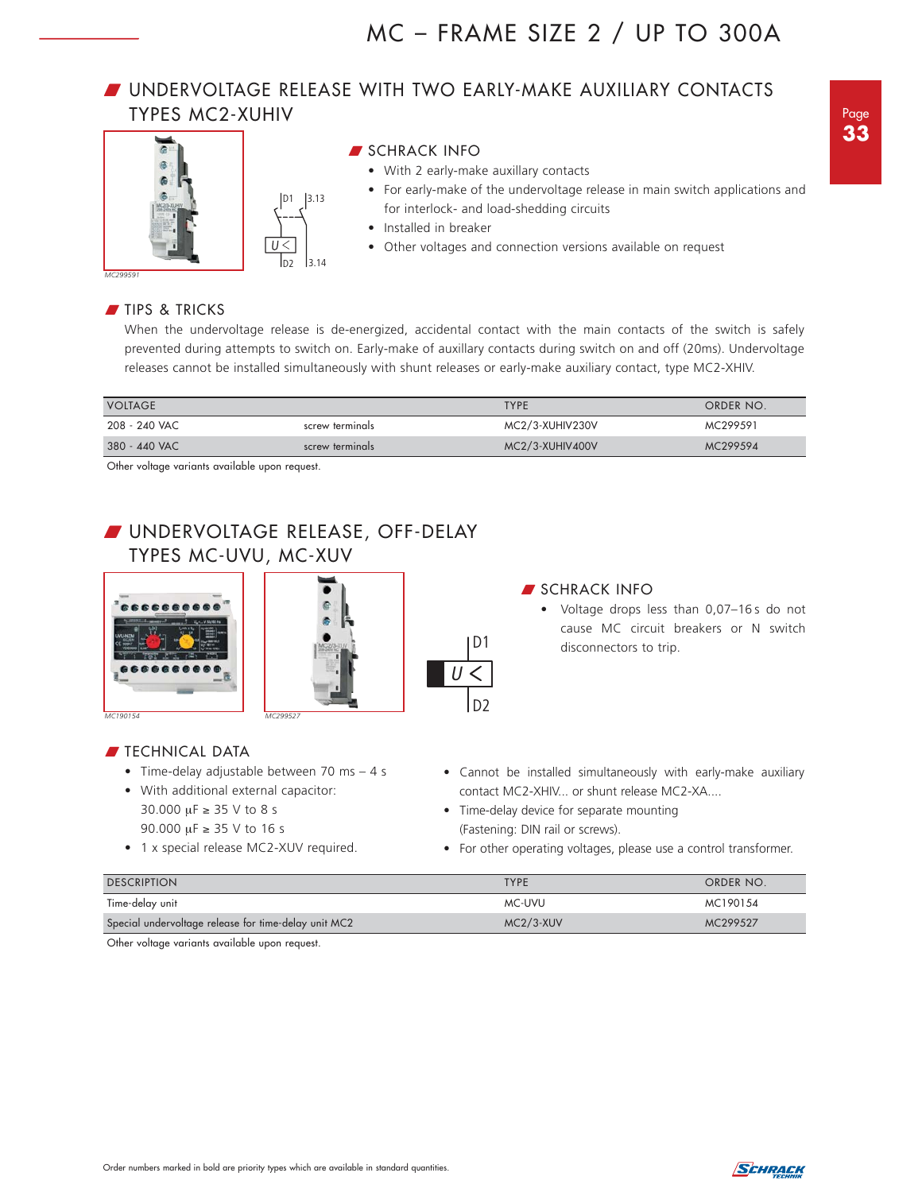## W UNDERVOLTAGE RELEASE WITH TWO EARLY-MAKE AUXILIARY CONTACTS TYPES MC2-XUHIV





### **SCHRACK INFO**

- With 2 early-make auxillary contacts
- For early-make of the undervoltage release in main switch applications and for interlock- and load-shedding circuits
- Installed in breaker
- Other voltages and connection versions available on request

#### *MC299591*

## TIPS & TRICKS

When the undervoltage release is de-energized, accidental contact with the main contacts of the switch is safely prevented during attempts to switch on. Early-make of auxillary contacts during switch on and off (20ms). Undervoltage releases cannot be installed simultaneously with shunt releases or early-make auxiliary contact, type MC2-XHIV.

| <b>VOLTAGE</b> |                 | <b>TYPE</b>     | ORDER NO. |
|----------------|-----------------|-----------------|-----------|
| 208 - 240 VAC  | screw terminals | MC2/3-XUHIV230V | MC299591  |
| 380 - 440 VAC  | screw terminals | MC2/3-XUHIV400V | MC299594  |

**D1**

**D2**

 $\overline{\overline{U}}$ 

Other voltage variants available upon request.

## W UNDERVOLTAGE RELEASE, OFF-DELAY TYPES MC-UVU, MC-XUV



**FIECHNICAL DATA** 



### **SCHRACK INFO**

- Voltage drops less than 0,07-16s do not cause MC circuit breakers or N switch disconnectors to trip.
- Cannot be installed simultaneously with early-make auxiliary contact MC2-XHIV... or shunt release MC2-XA....
- Time-delay device for separate mounting (Fastening: DIN rail or screws).
- For other operating voltages, please use a control transformer.

| <b>DESCRIPTION</b>                                   | <b>TYPF</b> | ORDER NO. |
|------------------------------------------------------|-------------|-----------|
| Time-delay unit                                      | MC-UVU      | MC190154  |
| Special undervoltage release for time-delay unit MC2 | $MC2/3-XUV$ | MC299527  |

Other voltage variants available upon request.

• Time-delay adjustable between 70 ms – 4 s

• With additional external capacitor: 30.000 μF ≥ 35 V to 8 s 90.000 μF ≥ 35 V to 16 s

• 1 x special release MC2-XUV required.

Page **33**

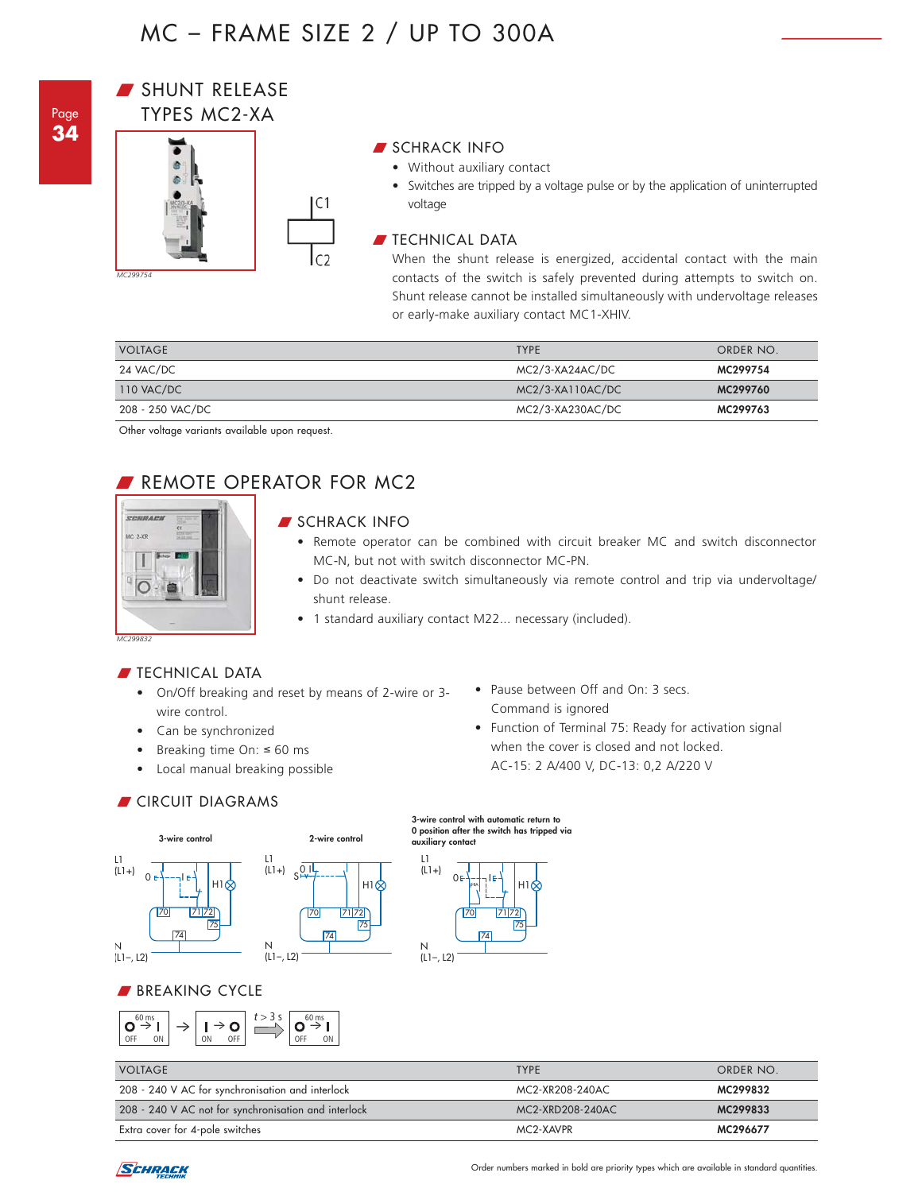

## SHUNT RELEASE TYPES MC2-XA



## SCHRACK INFO

• Without auxiliary contact

• Switches are tripped by a voltage pulse or by the application of uninterrupted voltage

## $\blacksquare$  TECHNICAL DATA

When the shunt release is energized, accidental contact with the main contacts of the switch is safely prevented during attempts to switch on. Shunt release cannot be installed simultaneously with undervoltage releases or early-make auxiliary contact MC1-XHIV.

| <b>VOLTAGE</b>   | <b>TYPE</b>      | ORDER NO. |
|------------------|------------------|-----------|
| 24 VAC/DC        | MC2/3-XA24AC/DC  | MC299754  |
| 110 VAC/DC       | MC2/3-XA110AC/DC | MC299760  |
| 208 - 250 VAC/DC | MC2/3-XA230AC/DC | MC299763  |

Other voltage variants available upon request.

## REMOTE OPERATOR FOR MC2



## SCHRACK INFO

75

н1 $\otimes$ 

- Remote operator can be combined with circuit breaker MC and switch disconnector MC-N, but not with switch disconnector MC-PN.
- Do not deactivate switch simultaneously via remote control and trip via undervoltage/ shunt release.
- 1 standard auxiliary contact M22... necessary (included).

### **FECHNICAL DATA**

- On/Off breaking and reset by means of 2-wire or 3 wire control.
- Can be synchronized
- Breaking time On: ≤ 60 ms
- Local manual breaking possible

**CIRCUIT DIAGRAMS** 



## BREAKING CYCLE



## • Pause between Off and On: 3 secs. Command is ignored

• Function of Terminal 75: Ready for activation signal when the cover is closed and not locked. AC-15: 2 A/400 V, DC-13: 0,2 A/220 V

#### 0 position after the switch has tripped via **Schalterauslösung über Ausgelöst-Hilfskontakt auxiliary contact**70 71 72 74 75 N (L1–, L2) L1  $(L1+)$ **PHA** i H1 0터-+-1

**Impulskontaktgabe mit automatischer 3-wire control with automatic return to** 

| <b>VOLTAGE</b>                                       | <b>TYPF</b>      | ORDER NO. |
|------------------------------------------------------|------------------|-----------|
| 208 - 240 V AC for synchronisation and interlock     | MC2-XR208-240AC  | MC299832  |
| 208 - 240 V AC not for synchronisation and interlock | MC2-XRD208-240AC | MC299833  |
| Extra cover for 4-pole switches                      | MC2-XAVPR        | MC296677  |

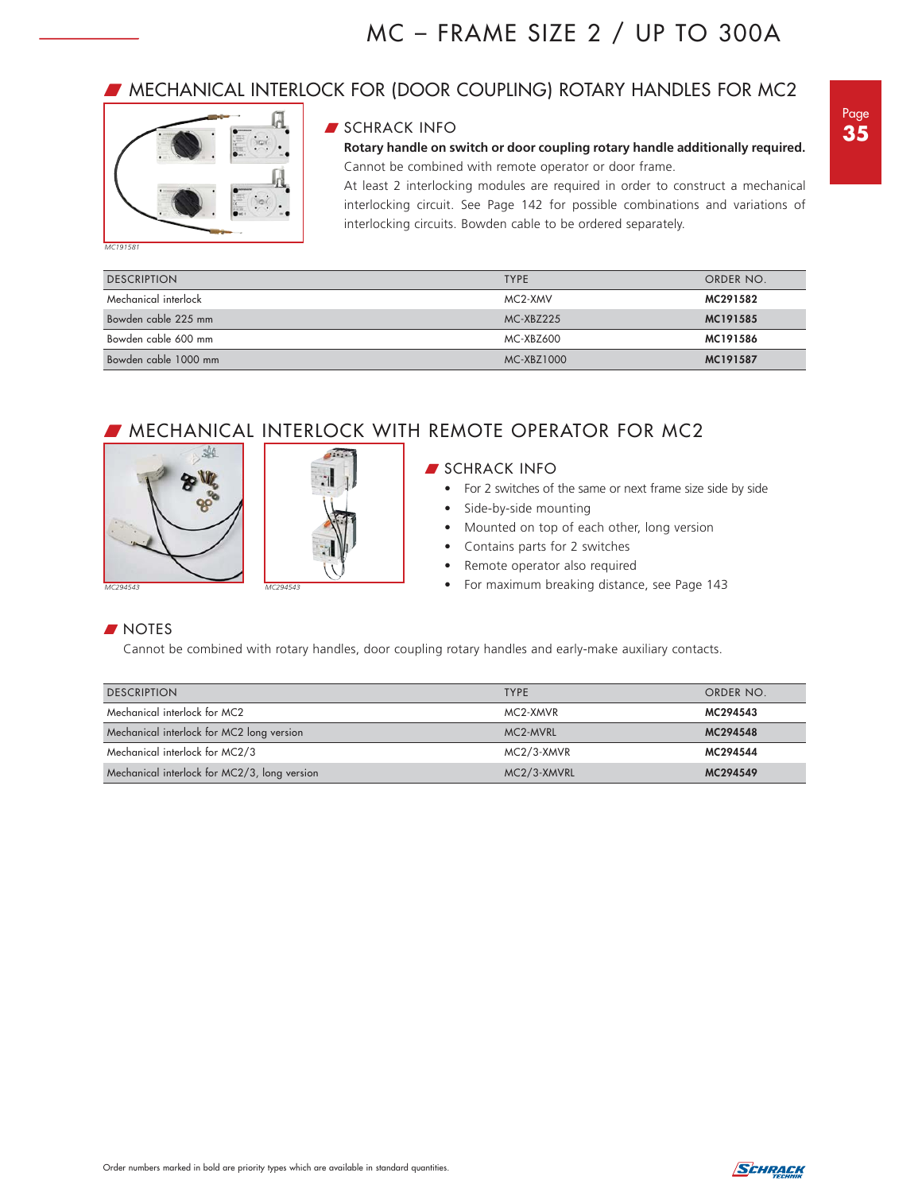## **WECHANICAL INTERLOCK FOR (DOOR COUPLING) ROTARY HANDLES FOR MC2**



### **SCHRACK INFO**

**Rotary handle on switch or door coupling rotary handle additionally required.** Cannot be combined with remote operator or door frame.

At least 2 interlocking modules are required in order to construct a mechanical interlocking circuit. See Page 142 for possible combinations and variations of interlocking circuits. Bowden cable to be ordered separately.

| <b>DESCRIPTION</b>   | <b>TYPE</b> | ORDER NO. |
|----------------------|-------------|-----------|
| Mechanical interlock | MC2-XMV     | MC291582  |
| Bowden cable 225 mm  | MC-XBZ225   | MC191585  |
| Bowden cable 600 mm  | MC-XBZ600   | MC191586  |
| Bowden cable 1000 mm | MC-XBZ1000  | MC191587  |

## **MECHANICAL INTERLOCK WITH REMOTE OPERATOR FOR MC2**





## **SCHRACK INFO**

- For 2 switches of the same or next frame size side by side
- Side-by-side mounting
- Mounted on top of each other, long version
- Contains parts for 2 switches
- Remote operator also required
- For maximum breaking distance, see Page 143

## **NOTES**

Cannot be combined with rotary handles, door coupling rotary handles and early-make auxiliary contacts.

| <b>DESCRIPTION</b>                           | <b>TYPE</b> | ORDER NO. |
|----------------------------------------------|-------------|-----------|
| Mechanical interlock for MC2                 | MC2-XMVR    | MC294543  |
|                                              |             |           |
| Mechanical interlock for MC2 long version    | MC2-MVRL    | MC294548  |
| Mechanical interlock for MC2/3               | MC2/3-XMVR  | MC294544  |
| Mechanical interlock for MC2/3, long version | MC2/3-XMVRL | MC294549  |

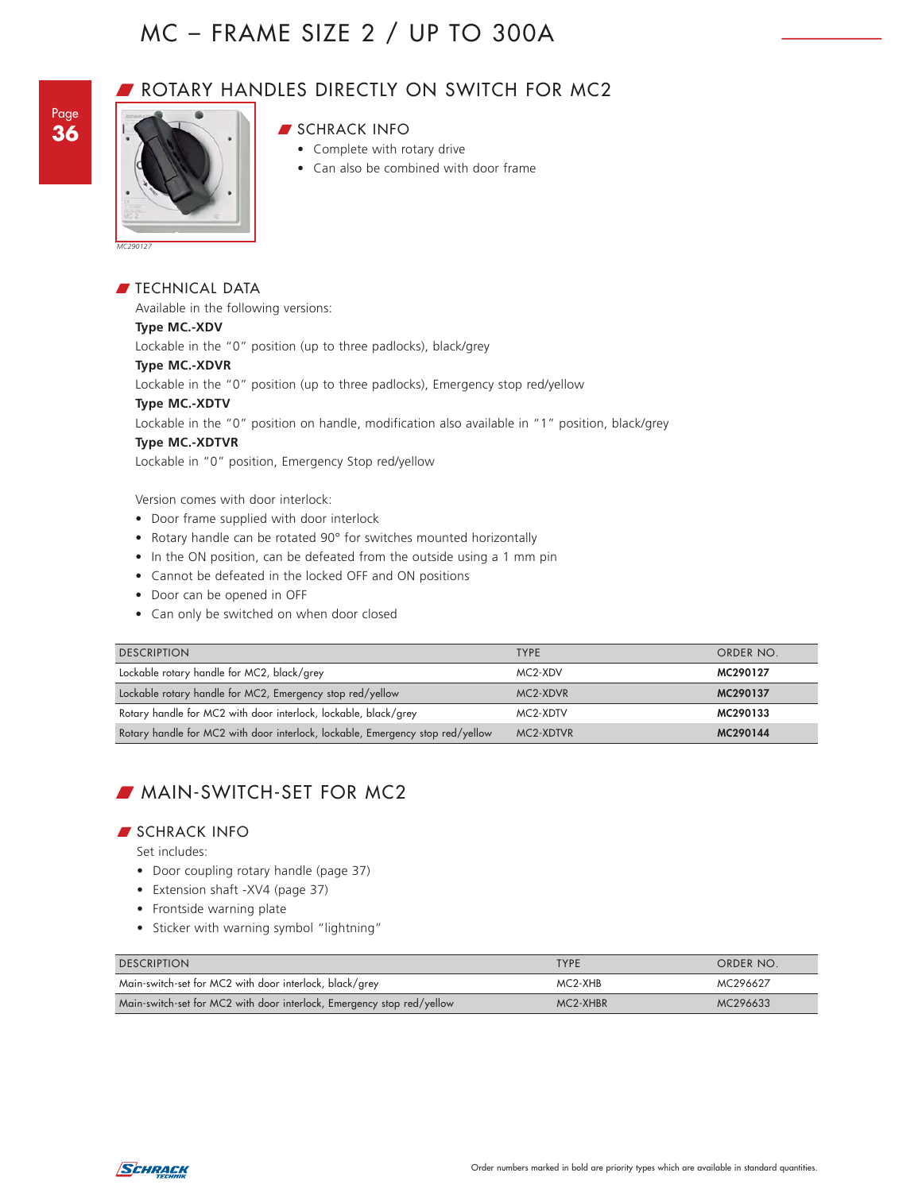

## ROTARY HANDLES DIRECTLY ON SWITCH FOR MC2



## **SCHRACK INFO**

- Complete with rotary drive
- Can also be combined with door frame

*MC290127*

 $\blacksquare$  TECHNICAL DATA Available in the following versions: **Type MC.-XDV** Lockable in the "0" position (up to three padlocks), black/grey **Type MC.-XDVR** Lockable in the "0" position (up to three padlocks), Emergency stop red/yellow **Type MC.-XDTV** Lockable in the "0" position on handle, modification also available in "1" position, black/grey **Type MC.-XDTVR** Lockable in "0" position, Emergency Stop red/yellow

Version comes with door interlock:

- Door frame supplied with door interlock
- Rotary handle can be rotated 90° for switches mounted horizontally
- In the ON position, can be defeated from the outside using a 1 mm pin
- Cannot be defeated in the locked OFF and ON positions
- Door can be opened in OFF
- Can only be switched on when door closed

| <b>DESCRIPTION</b>                                                             | <b>TYPE</b> | ORDER NO. |
|--------------------------------------------------------------------------------|-------------|-----------|
| Lockable rotary handle for MC2, black/grey                                     | MC2-XDV     | MC290127  |
| Lockable rotary handle for MC2, Emergency stop red/yellow                      | MC2-XDVR    | MC290137  |
| Rotary handle for MC2 with door interlock, lockable, black/grey                | MC2-XDTV    | MC290133  |
| Rotary handle for MC2 with door interlock, lockable, Emergency stop red/yellow | MC2-XDTVR   | MC290144  |

## **MAIN-SWITCH-SET FOR MC2**

#### W SCHRACK INFO

Set includes:

- Door coupling rotary handle (page 37)
- Extension shaft -XV4 (page 37)
- Frontside warning plate
- Sticker with warning symbol "lightning"

| <b>DESCRIPTION</b>                                                     | <b>TYPF</b> | ORDER NO. |
|------------------------------------------------------------------------|-------------|-----------|
| Main-switch-set for MC2 with door interlock, black/grey                | MC2-XHB     | MC296627  |
| Main-switch-set for MC2 with door interlock, Emergency stop red/yellow | MC2-XHBR    | MC296633  |

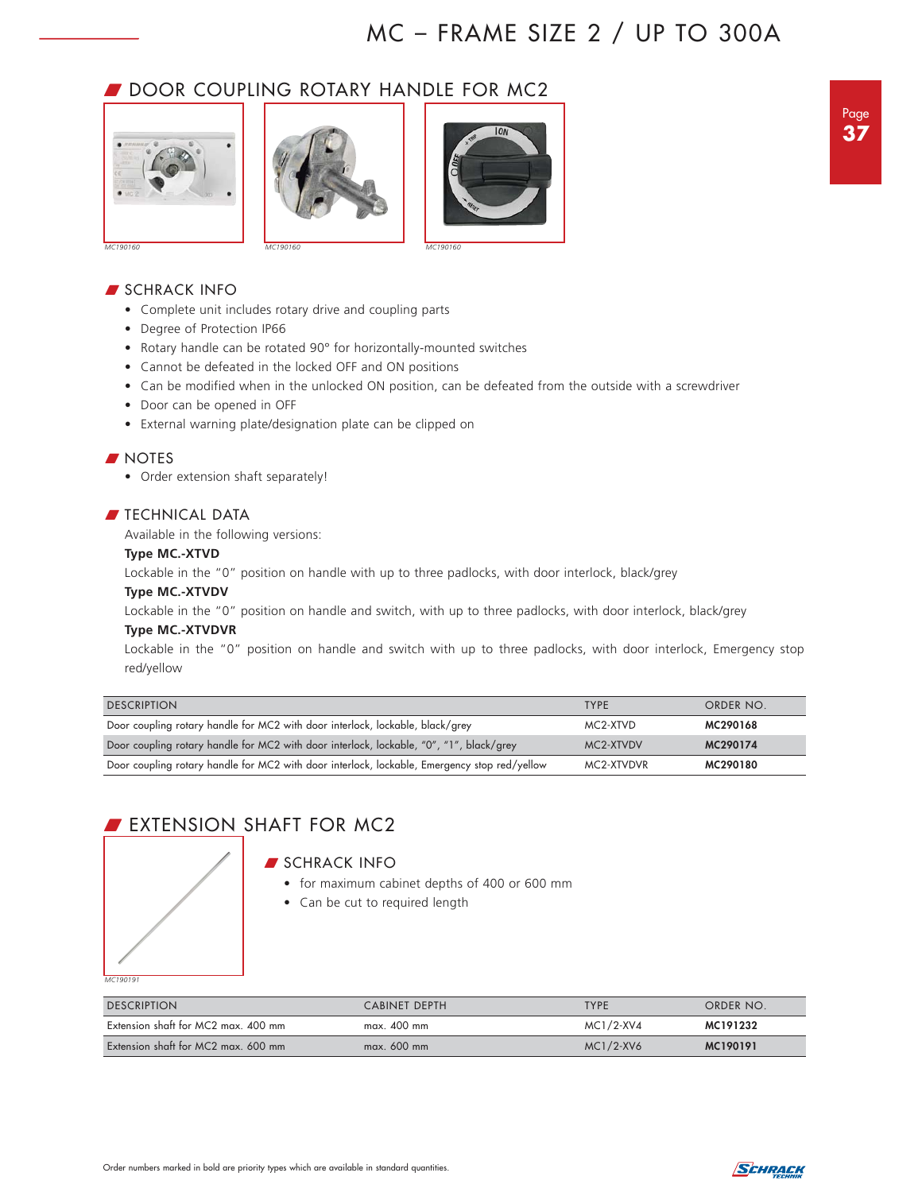## **DOOR COUPLING ROTARY HANDLE FOR MC2**







## **SCHRACK INFO**

- Complete unit includes rotary drive and coupling parts
- Degree of Protection IP66
- Rotary handle can be rotated 90° for horizontally-mounted switches
- Cannot be defeated in the locked OFF and ON positions
- Can be modified when in the unlocked ON position, can be defeated from the outside with a screwdriver
- Door can be opened in OFF
- External warning plate/designation plate can be clipped on

### **NOTES**

• Order extension shaft separately!

### $\blacksquare$  TECHNICAL DATA

Available in the following versions:

#### **Type MC.-XTVD**

Lockable in the "0" position on handle with up to three padlocks, with door interlock, black/grey

#### **Type MC.-XTVDV**

Lockable in the "0" position on handle and switch, with up to three padlocks, with door interlock, black/grey

#### **Type MC.-XTVDVR**

Lockable in the "0" position on handle and switch with up to three padlocks, with door interlock, Emergency stop red/yellow

| <b>DESCRIPTION</b>                                                                           | <b>TYPF</b> | ORDER NO. |
|----------------------------------------------------------------------------------------------|-------------|-----------|
| Door coupling rotary handle for MC2 with door interlock, lockable, black/grey                | MC2-XTVD    | MC290168  |
| Door coupling rotary handle for MC2 with door interlock, lockable, "0", "1", black/grey      | MC2-XTVDV   | MC290174  |
| Door coupling rotary handle for MC2 with door interlock, lockable, Emergency stop red/yellow | MC2-XTVDVR  | MC290180  |

## **EXTENSION SHAFT FOR MC2**

#### **SCHRACK INFO**

- for maximum cabinet depths of 400 or 600 mm
- Can be cut to required length

*MC190191*

| <b>DESCRIPTION</b>                  | CABINET DEPTH | <b>TYPE</b>  | ORDER NO. |
|-------------------------------------|---------------|--------------|-----------|
| Extension shaft for MC2 max. 400 mm | $max.$ 400 mm | MC1/2-XV4    | MC191232  |
| Extension shaft for MC2 max, 600 mm | $max. 600$ mm | $MC1/2$ -XV6 | MC190191  |

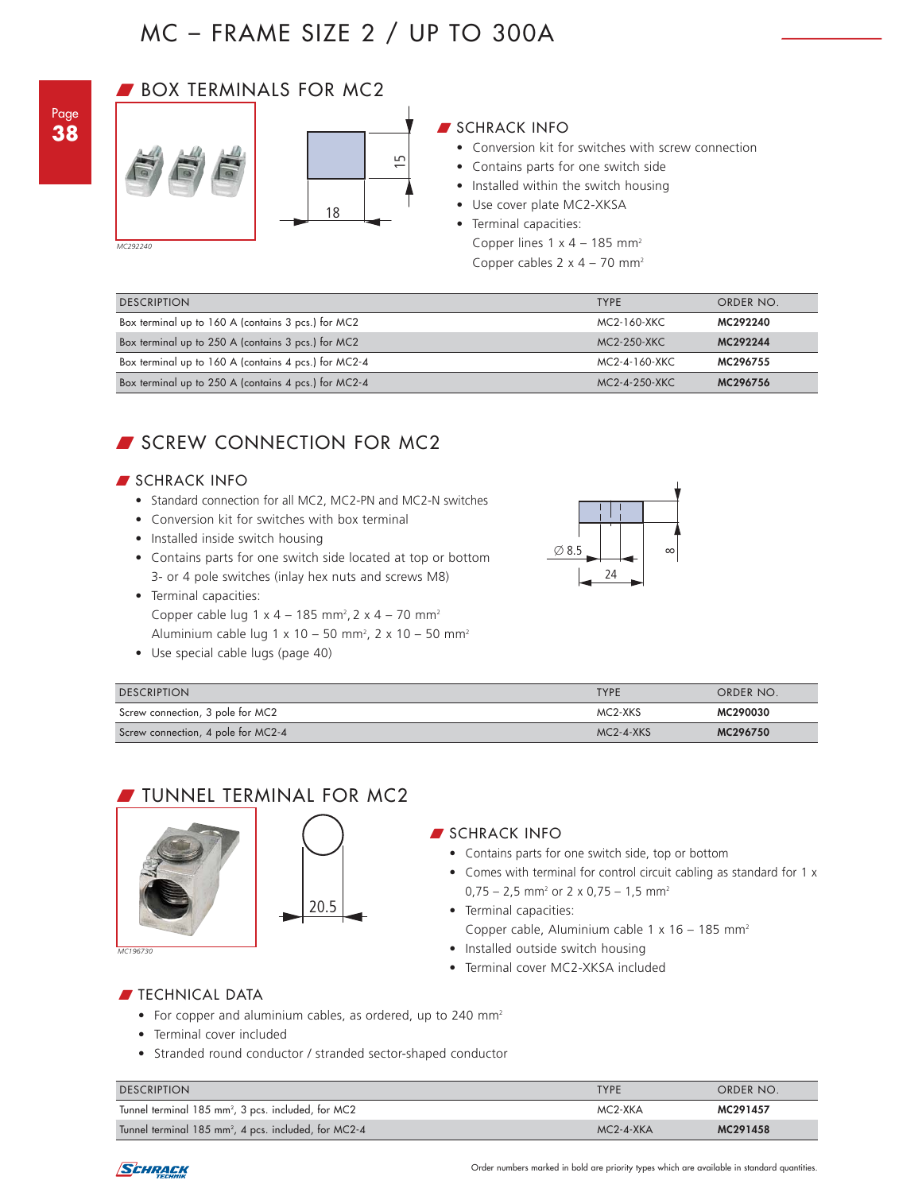## **BOX TERMINALS FOR MC2**





## W SCHRACK INFO

- Conversion kit for switches with screw connection
- Contains parts for one switch side
- Installed within the switch housing
- Use cover plate MC2-XKSA
- Terminal capacities:
	- Copper lines  $1 \times 4 185$  mm<sup>2</sup>

| ₽<br>18<br>MC292240                                  | • Contains parts for one switch side<br>• Installed within the switch housing<br>• Use cover plate MC2-XKSA<br>• Terminal capacities:<br>Copper lines $1 \times 4 - 185$ mm <sup>2</sup><br>Copper cables $2 \times 4 - 70$ mm <sup>2</sup> |           |
|------------------------------------------------------|---------------------------------------------------------------------------------------------------------------------------------------------------------------------------------------------------------------------------------------------|-----------|
| <b>DESCRIPTION</b>                                   | <b>TYPE</b>                                                                                                                                                                                                                                 | ORDER NO. |
| Box terminal up to 160 A (contains 3 pcs.) for MC2   | MC2-160-XKC                                                                                                                                                                                                                                 | MC292240  |
| Box terminal up to 250 A (contains 3 pcs.) for MC2   | <b>MC2-250-XKC</b>                                                                                                                                                                                                                          | MC292244  |
| Box terminal up to 160 A (contains 4 pcs.) for MC2-4 | MC2-4-160-XKC                                                                                                                                                                                                                               | MC296755  |
| Box terminal up to 250 A (contains 4 pcs.) for MC2-4 | MC2-4-250-XKC                                                                                                                                                                                                                               | MC296756  |

## SCREW CONNECTION FOR MC2

## **SCHRACK INFO**

- Standard connection for all MC2, MC2-PN and MC2-N switches
- Conversion kit for switches with box terminal
- Installed inside switch housing
- Contains parts for one switch side located at top or bottom 3- or 4 pole switches (inlay hex nuts and screws M8)
- Terminal capacities: Copper cable lug  $1 \times 4 - 185$  mm<sup>2</sup>,  $2 \times 4 - 70$  mm<sup>2</sup> Aluminium cable lug  $1 \times 10 - 50$  mm<sup>2</sup>,  $2 \times 10 - 50$  mm<sup>2</sup>
- Use special cable lugs (page 40)



| <b>DESCRIPTION</b>                 | <b>TYPF</b>     | ORDER NO. |
|------------------------------------|-----------------|-----------|
| Screw connection, 3 pole for MC2   | MC2-XKS         | MC290030  |
| Screw connection, 4 pole for MC2-4 | $MC2 - 4 - XKS$ | MC296750  |

## W TUNNEL TERMINAL FOR MC2





### **SCHRACK INFO**

- Contains parts for one switch side, top or bottom
- Comes with terminal for control circuit cabling as standard for 1 x  $0.75 - 2.5$  mm<sup>2</sup> or 2 x 0.75 - 1.5 mm<sup>2</sup>
- Terminal capacities: Copper cable, Aluminium cable 1 x 16 - 185 mm<sup>2</sup>
- Installed outside switch housing
- Terminal cover MC2-XKSA included

## $\blacksquare$  TECHNICAL DATA

- For copper and aluminium cables, as ordered, up to 240 mm<sup>2</sup>
- Terminal cover included
- Stranded round conductor / stranded sector-shaped conductor

| <b>DESCRIPTION</b>                                               | <b>TYPF</b> | ORDER NO. |
|------------------------------------------------------------------|-------------|-----------|
| Tunnel terminal 185 mm <sup>2</sup> , 3 pcs. included, for MC2   | MC2-XKA     | MC291457  |
| Tunnel terminal 185 mm <sup>2</sup> , 4 pcs. included, for MC2-4 | $MC2-4-XKA$ | MC291458  |



#### Order numbers marked in bold are priority types which are available in standard quantities.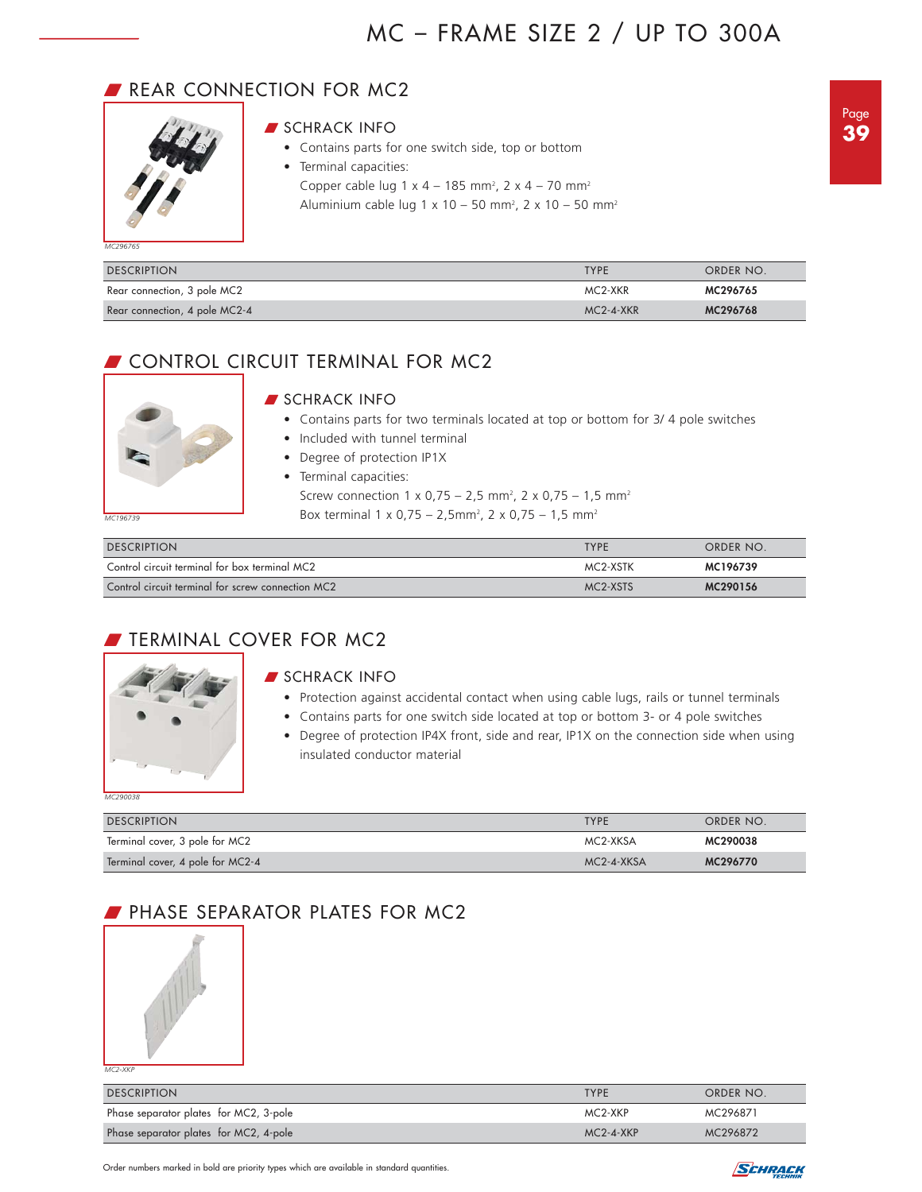## REAR CONNECTION FOR MC2



## **SCHRACK INFO**

- Contains parts for one switch side, top or bottom
- Terminal capacities:
	- Copper cable lug 1 x 4 185 mm<sup>2</sup>, 2 x 4 70 mm<sup>2</sup>
	- Aluminium cable lug 1 x 10 50 mm<sup>2</sup>, 2 x 10 50 mm<sup>2</sup>

*MC296765*

| <b>DESCRIPTION</b>            | <b>TYPF</b> | ORDER NO. |
|-------------------------------|-------------|-----------|
| Rear connection, 3 pole MC2   | MC2-XKR     | MC296765  |
| Rear connection, 4 pole MC2-4 | $MC2-4-XKR$ | MC296768  |

## CONTROL CIRCUIT TERMINAL FOR MC2

# *MC196739*

## SCHRACK INFO

- Contains parts for two terminals located at top or bottom for 3/ 4 pole switches
- Included with tunnel terminal
- Degree of protection IP1X
- Terminal capacities:
	- Screw connection 1 x 0,75 2,5 mm<sup>2</sup>, 2 x 0,75 1,5 mm<sup>2</sup> Box terminal 1 x 0,75 – 2,5mm<sup>2</sup>, 2 x 0,75 – 1,5 mm<sup>2</sup>

| <b>DESCRIPTION</b>                                | <b>TYPF</b> | ORDER NO. |
|---------------------------------------------------|-------------|-----------|
| Control circuit terminal for box terminal MC2     | MC2-XSTK    | MC196739  |
| Control circuit terminal for screw connection MC2 | MC2-XSTS    | MC290156  |

## **FILMINAL COVER FOR MC2**



## **SCHRACK INFO**

- Protection against accidental contact when using cable lugs, rails or tunnel terminals
- Contains parts for one switch side located at top or bottom 3- or 4 pole switches
- Degree of protection IP4X front, side and rear, IP1X on the connection side when using insulated conductor material

| <b>DESCRIPTION</b>               | <b>TYPE</b>      | ORDER NO. |
|----------------------------------|------------------|-----------|
| Terminal cover, 3 pole for MC2   | MC2-XKSA         | MC290038  |
| Terminal cover, 4 pole for MC2-4 | $MC2 - 4 - XKSA$ | MC296770  |

## **PHASE SEPARATOR PLATES FOR MC2**



*MC2-XKP*

| <b>DESCRIPTION</b>                     | <b>TYPF</b>     | ORDER NO. |
|----------------------------------------|-----------------|-----------|
| Phase separator plates for MC2, 3-pole | MC2-XKP         | MC296871  |
| Phase separator plates for MC2, 4-pole | $MC2 - 4 - XKP$ | MC296872  |

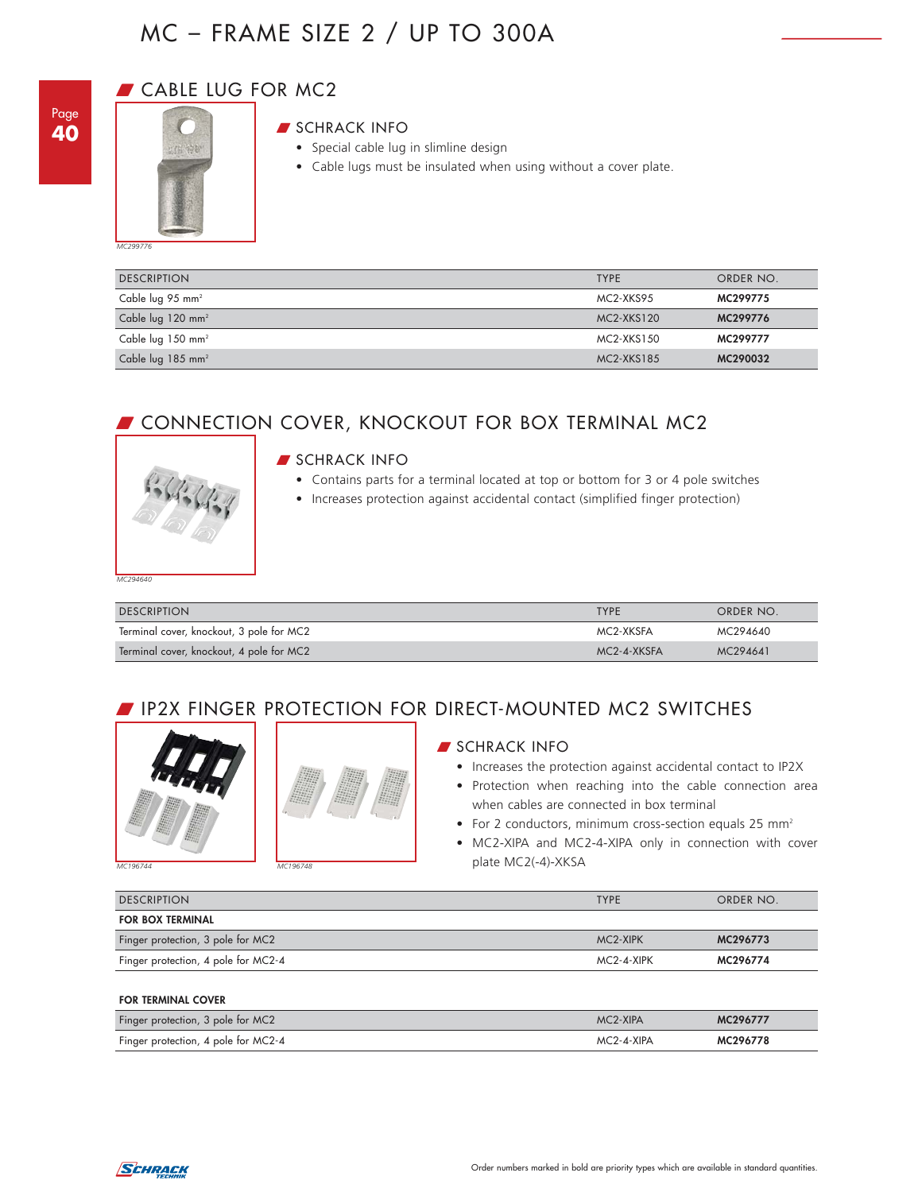

## **CABLE LUG FOR MC2**



## **SCHRACK INFO**

- Special cable lug in slimline design
- Cable lugs must be insulated when using without a cover plate.

*MC299776*

| <b>DESCRIPTION</b>            | <b>TYPE</b> | ORDER NO. |
|-------------------------------|-------------|-----------|
| Cable lug 95 mm <sup>2</sup>  | MC2-XKS95   | MC299775  |
| Cable lug 120 mm <sup>2</sup> | MC2-XKS120  | MC299776  |
| Cable lug 150 mm <sup>2</sup> | MC2-XKS150  | MC299777  |
| Cable lug $185 \text{ mm}^2$  | MC2-XKS185  | MC290032  |

## **CONNECTION COVER, KNOCKOUT FOR BOX TERMINAL MC2**



## **SCHRACK INFO**

- Contains parts for a terminal located at top or bottom for 3 or 4 pole switches
- Increases protection against accidental contact (simplified finger protection)

*MC294640*

| <b>DESCRIPTION</b>                       | <b>TYPE</b> | ORDER NO. |
|------------------------------------------|-------------|-----------|
| Terminal cover, knockout, 3 pole for MC2 | MC2-XKSFA   | MC294640  |
| Terminal cover, knockout, 4 pole for MC2 | MC2-4-XKSFA | MC294641  |

## **FINGER PROTECTION FOR DIRECT-MOUNTED MC2 SWITCHES**





*MC196744 MC196748*



## **SCHRACK INFO**

- Increases the protection against accidental contact to IP2X
- Protection when reaching into the cable connection area when cables are connected in box terminal
- For 2 conductors, minimum cross-section equals 25 mm<sup>2</sup>
- MC2-XIPA and MC2-4-XIPA only in connection with cover plate MC2(-4)-XKSA

| <b>DESCRIPTION</b>                  | <b>TYPE</b> | ORDER NO. |
|-------------------------------------|-------------|-----------|
| <b>FOR BOX TERMINAL</b>             |             |           |
| Finger protection, 3 pole for MC2   | MC2-XIPK    | MC296773  |
| Finger protection, 4 pole for MC2-4 | MC2-4-XIPK  | MC296774  |

**FOR TERMINAL COVER**

| Finger protection, 3 pole for MC2   | MC <sub>2</sub> -XIPA | MC29677         |
|-------------------------------------|-----------------------|-----------------|
| Finger protection, 4 pole for MC2-4 | 2-⊿-XIPA              | <b>MC296778</b> |

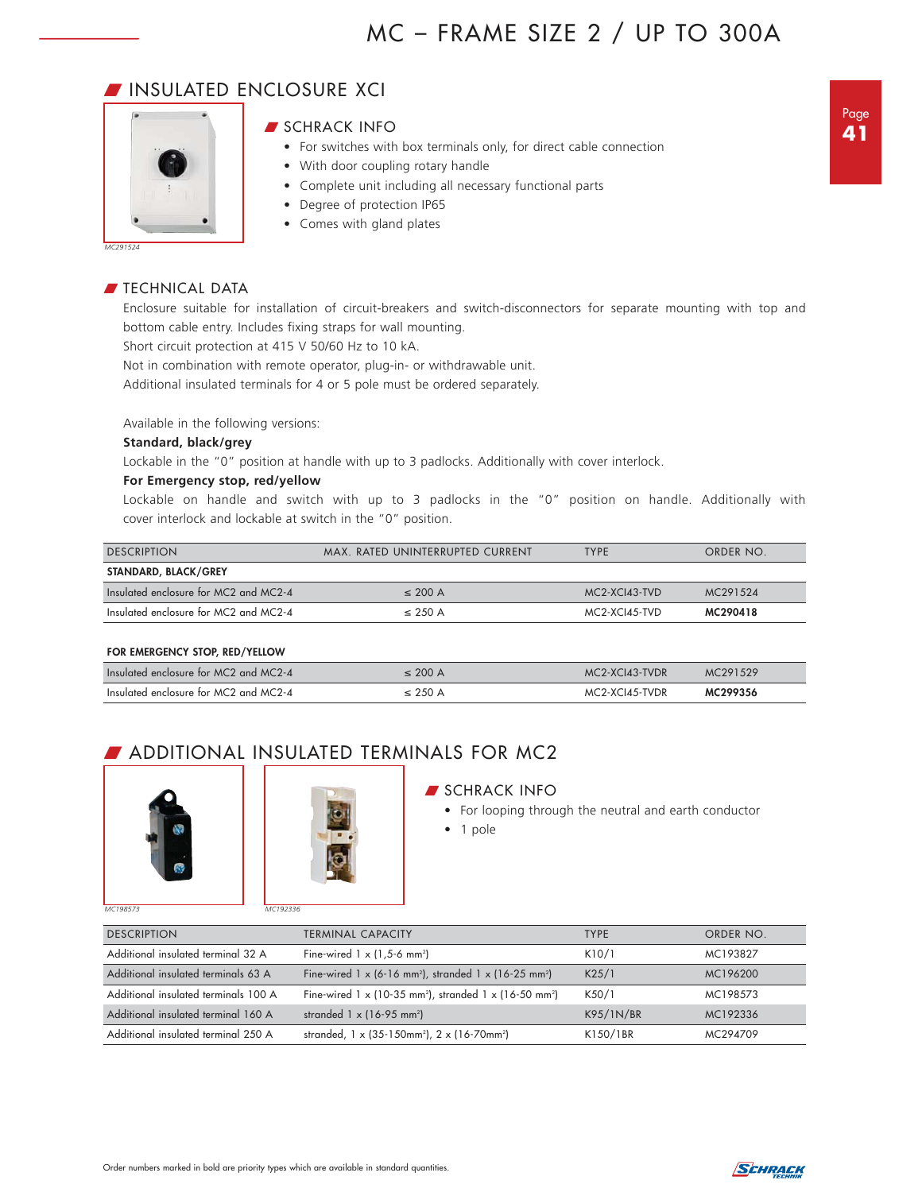## W INSULATED ENCLOSURE XCI



## SCHRACK INFO

- For switches with box terminals only, for direct cable connection
- With door coupling rotary handle
- Complete unit including all necessary functional parts
- Degree of protection IP65
- Comes with gland plates

## $\blacksquare$  TECHNICAL DATA

Enclosure suitable for installation of circuit-breakers and switch-disconnectors for separate mounting with top and bottom cable entry. Includes fixing straps for wall mounting.

Short circuit protection at 415 V 50/60 Hz to 10 kA.

Not in combination with remote operator, plug-in- or withdrawable unit.

Additional insulated terminals for 4 or 5 pole must be ordered separately.

Available in the following versions:

#### **Standard, black/grey**

Lockable in the "0" position at handle with up to 3 padlocks. Additionally with cover interlock.

## **For Emergency stop, red/yellow**

Lockable on handle and switch with up to 3 padlocks in the "0" position on handle. Additionally with cover interlock and lockable at switch in the "0" position.

| <b>DESCRIPTION</b>                    | MAX, RATED UNINTERRUPTED CURRENT | <b>TYPF</b>   | ORDER NO. |
|---------------------------------------|----------------------------------|---------------|-----------|
| STANDARD, BLACK/GREY                  |                                  |               |           |
| Insulated enclosure for MC2 and MC2-4 | $\leq$ 200 A                     | MC2-XCI43-TVD | MC291524  |
| Insulated enclosure for MC2 and MC2-4 | $\leq$ 250 A                     | MC2-XCI45-TVD | MC290418  |

#### **FOR EMERGENCY STOP, RED/YELLOW**

| Insulated enclosure for MC2 and MC2-4 | $\leq$ 200 A | MC2-XCI43-TVDR | MC291529 |
|---------------------------------------|--------------|----------------|----------|
| Insulated enclosure for MC2 and MC2-4 | < 2.50 A     | MC2-XCI45-TVDR | MC299356 |

## **BUDITIONAL INSULATED TERMINALS FOR MC2**





### **SCHRACK INFO**

- For looping through the neutral and earth conductor
- 1 pole

| <b>DESCRIPTION</b>                   | <b>TERMINAL CAPACITY</b>                                                                     | <b>TYPE</b> | ORDER NO. |
|--------------------------------------|----------------------------------------------------------------------------------------------|-------------|-----------|
| Additional insulated terminal 32 A   | Fine-wired $1 \times (1.5-6 \text{ mm}^2)$                                                   | K10/1       | MC193827  |
| Additional insulated terminals 63 A  | Fine-wired $1 \times (6-16 \text{ mm}^2)$ , stranded $1 \times (16-25 \text{ mm}^2)$         | K25/1       | MC196200  |
| Additional insulated terminals 100 A | Fine-wired 1 $\times$ (10-35 mm <sup>2</sup> ), stranded 1 $\times$ (16-50 mm <sup>2</sup> ) | K50/1       | MC198573  |
| Additional insulated terminal 160 A  | stranded $1 \times (16-95 \text{ mm}^2)$                                                     | K95/1N/BR   | MC192336  |
| Additional insulated terminal 250 A  | stranded, 1 x (35-150mm <sup>2</sup> ), 2 x (16-70mm <sup>2</sup> )                          | K150/1BR    | MC294709  |

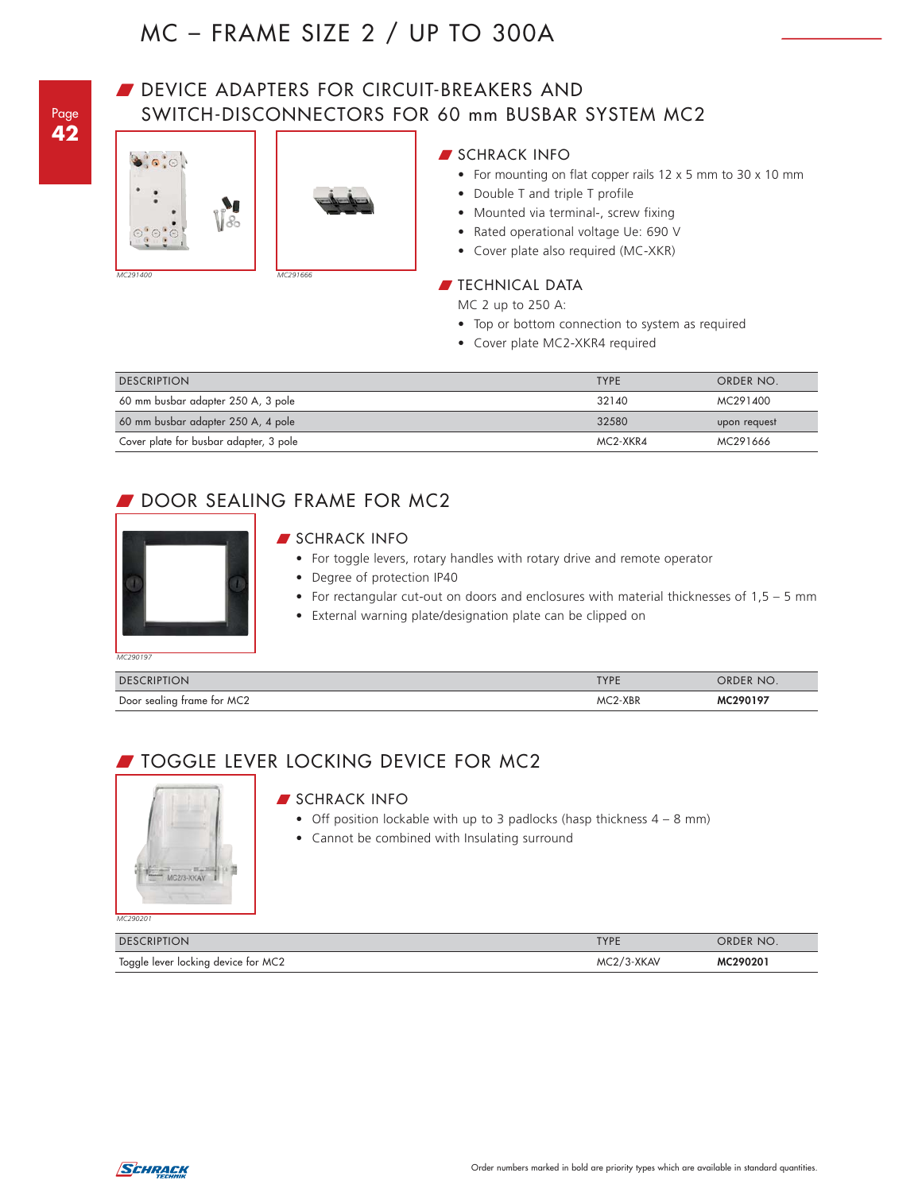Page **42**

## DEVICE ADAPTERS FOR CIRCUIT-BREAKERS AND SWITCH-DISCONNECTORS FOR 60 mm BUSBAR SYSTEM MC2





• Cover plate also required (MC-XKR)

**SCHRACK INFO** 

## **TECHNICAL DATA**

MC 2 up to 250 A:

• Top or bottom connection to system as required

• For mounting on flat copper rails 12 x 5 mm to 30 x 10 mm

• Cover plate MC2-XKR4 required

• Double T and triple T profile • Mounted via terminal-, screw fixing • Rated operational voltage Ue: 690 V

| <b>DESCRIPTION</b>                     | <b>TYPE</b> | ORDER NO.    |
|----------------------------------------|-------------|--------------|
| 60 mm busbar adapter 250 A, 3 pole     | 32140       | MC291400     |
| 60 mm busbar adapter 250 A, 4 pole     | 32580       | upon request |
| Cover plate for busbar adapter, 3 pole | MC2-XKR4    | MC291666     |

## DOOR SEALING FRAME FOR MC2



## **SCHRACK INFO**

- For toggle levers, rotary handles with rotary drive and remote operator
- Degree of protection IP40
- For rectangular cut-out on doors and enclosures with material thicknesses of 1,5 5 mm
- External warning plate/designation plate can be clipped on

*MC290197*

| <b>DESCRIPTION</b>         | TVDE                     | ORDER NO. |
|----------------------------|--------------------------|-----------|
| Door sealing frame for MC2 | 2-XBR<br>MC <sub>2</sub> | 10100107  |

## **JOGGLE LEVER LOCKING DEVICE FOR MC2**



#### **SCHRACK INFO**

- Off position lockable with up to 3 padlocks (hasp thickness  $4 8$  mm)
- Cannot be combined with Insulating surround

| <b>DESCRIPTION</b>                  | <b>TYPE</b> | ORDER NO. |
|-------------------------------------|-------------|-----------|
| Toggle lever locking device for MC2 | MC2/3-XKAV  | MC290201  |